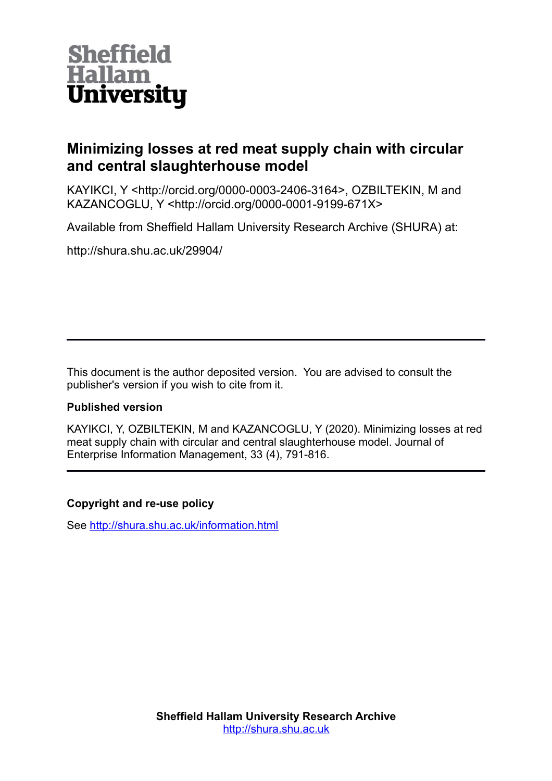

# **Minimizing losses at red meat supply chain with circular and central slaughterhouse model**

KAYIKCI, Y <http://orcid.org/0000-0003-2406-3164>, OZBILTEKIN, M and KAZANCOGLU, Y <http://orcid.org/0000-0001-9199-671X>

Available from Sheffield Hallam University Research Archive (SHURA) at:

http://shura.shu.ac.uk/29904/

This document is the author deposited version. You are advised to consult the publisher's version if you wish to cite from it.

## **Published version**

KAYIKCI, Y, OZBILTEKIN, M and KAZANCOGLU, Y (2020). Minimizing losses at red meat supply chain with circular and central slaughterhouse model. Journal of Enterprise Information Management, 33 (4), 791-816.

## **Copyright and re-use policy**

See<http://shura.shu.ac.uk/information.html>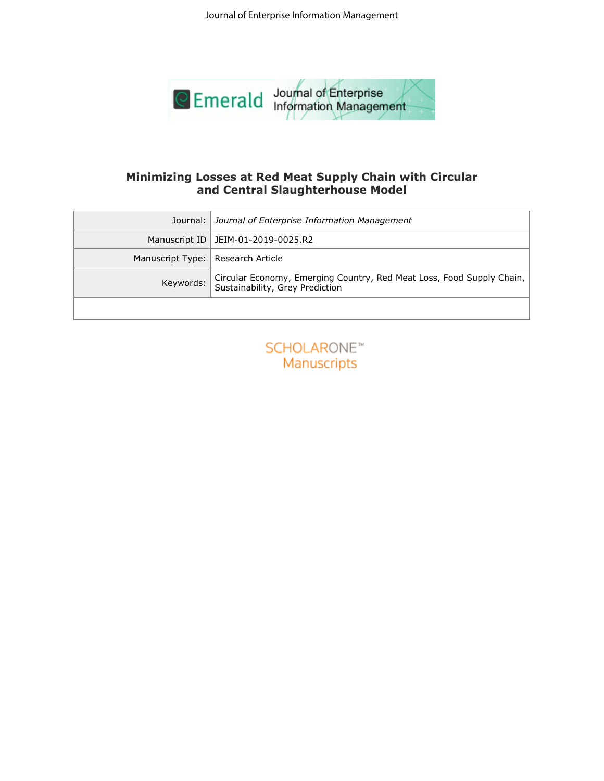

# **and Central Slaughterhouse Model**

| Journal:<br>Journal of Enterprise Information Management<br>Manuscript ID<br>JEIM-01-2019-0025.R2<br>Manuscript Type:<br>Research Article<br>Keywords:<br>Sustainability, Grey Prediction<br><b>SCHOLARONE™</b><br>Manuscripts | Minimizing Losses at Red Meat Supply Chain with Circular<br>and Central Slaughterhouse Model |
|--------------------------------------------------------------------------------------------------------------------------------------------------------------------------------------------------------------------------------|----------------------------------------------------------------------------------------------|
|                                                                                                                                                                                                                                |                                                                                              |
|                                                                                                                                                                                                                                |                                                                                              |
|                                                                                                                                                                                                                                |                                                                                              |
|                                                                                                                                                                                                                                | Circular Economy, Emerging Country, Red Meat Loss, Food Supply Chain,                        |
|                                                                                                                                                                                                                                |                                                                                              |
|                                                                                                                                                                                                                                |                                                                                              |

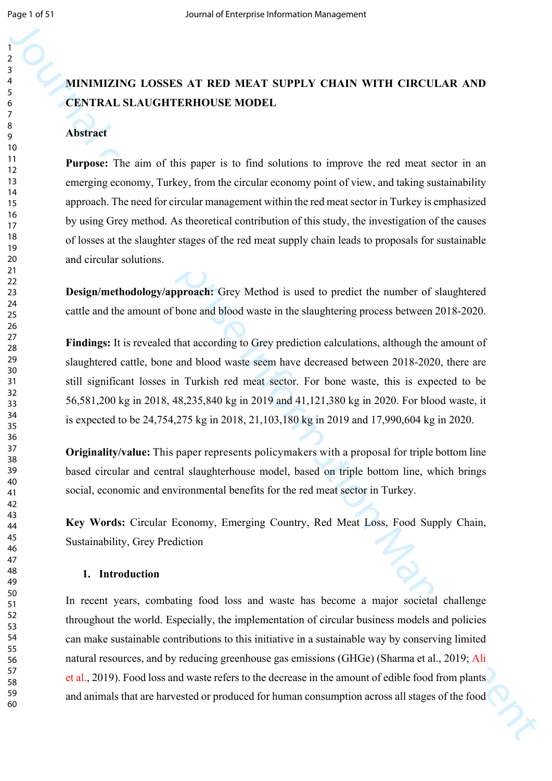# **MINIMIZING LOSSES AT RED MEAT SUPPLY CHAIN WITH CIRCULAR AND CENTRAL SLAUGHTERHOUSE MODEL**

#### **Abstract**

**Purpose:** The aim of this paper is to find solutions to improve the red meat sector in an emerging economy, Turkey, from the circular economy point of view, and taking sustainability approach. The need for circular management within the red meat sector in Turkey is emphasized by using Grey method. As theoretical contribution of this study, the investigation of the causes of losses at the slaughter stages of the red meat supply chain leads to proposals for sustainable and circular solutions.

**Design/methodology/approach:** Grey Method is used to predict the number of slaughtered cattle and the amount of bone and blood waste in the slaughtering process between 2018-2020.

**Findings:** It is revealed that according to Grey prediction calculations, although the amount of slaughtered cattle, bone and blood waste seem have decreased between 2018-2020, there are still significant losses in Turkish red meat sector. For bone waste, this is expected to be 56,581,200 kg in 2018, 48,235,840 kg in 2019 and 41,121,380 kg in 2020. For blood waste, it is expected to be 24,754,275 kg in 2018, 21,103,180 kg in 2019 and 17,990,604 kg in 2020.

**Originality/value:** This paper represents policymakers with a proposal for triple bottom line based circular and central slaughterhouse model, based on triple bottom line, which brings social, economic and environmental benefits for the red meat sector in Turkey.

**Key Words:** Circular Economy, Emerging Country, Red Meat Loss, Food Supply Chain, Sustainability, Grey Prediction

#### **1. Introduction**

Journal of the means of the system of the system of the system of the system of the system of the system of the system of the system of the system of the system of the system of the system of the system of the system of t In recent years, combating food loss and waste has become a major societal challenge throughout the world. Especially, the implementation of circular business models and policies can make sustainable contributions to this initiative in a sustainable way by conserving limited natural resources, and by reducing greenhouse gas emissions (GHGe) (Sharma et al., 2019; Ali et al., 2019). Food loss and waste refers to the decrease in the amount of edible food from plants and animals that are harvested or produced for human consumption across all stages of the food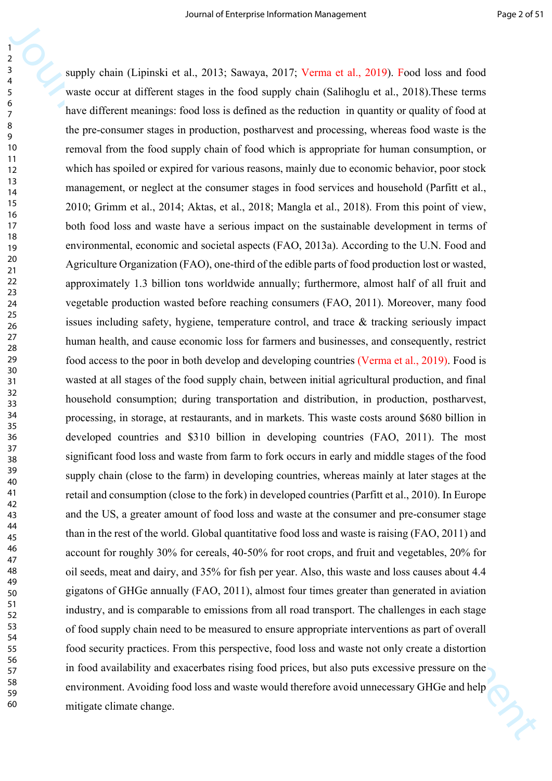3<br>
Humphy chain (Equinsive at al., 2013; Sowaya, 2017; Ventra et al., 2019; Ventra et al., 2018). Insect as the formation stage in the formation stage in the formation stage in the formation stage in the formation of the supply chain (Lipinski et al., 2013; Sawaya, 2017; Verma et al., 2019). Food loss and food waste occur at different stages in the food supply chain (Salihoglu et al., 2018).These terms have different meanings: food loss is defined as the reduction in quantity or quality of food at the pre-consumer stages in production, postharvest and processing, whereas food waste is the removal from the food supply chain of food which is appropriate for human consumption, or which has spoiled or expired for various reasons, mainly due to economic behavior, poor stock management, or neglect at the consumer stages in food services and household (Parfitt et al., 2010; Grimm et al., 2014; Aktas, et al., 2018; Mangla et al., 2018). From this point of view, both food loss and waste have a serious impact on the sustainable development in terms of environmental, economic and societal aspects (FAO, 2013a). According to the U.N. Food and Agriculture Organization (FAO), one-third of the edible parts of food production lost or wasted, approximately 1.3 billion tons worldwide annually; furthermore, almost half of all fruit and vegetable production wasted before reaching consumers (FAO, 2011). Moreover, many food issues including safety, hygiene, temperature control, and trace & tracking seriously impact human health, and cause economic loss for farmers and businesses, and consequently, restrict food access to the poor in both develop and developing countries (Verma et al., 2019). Food is wasted at all stages of the food supply chain, between initial agricultural production, and final household consumption; during transportation and distribution, in production, postharvest, processing, in storage, at restaurants, and in markets. This waste costs around \$680 billion in developed countries and \$310 billion in developing countries (FAO, 2011). The most significant food loss and waste from farm to fork occurs in early and middle stages of the food supply chain (close to the farm) in developing countries, whereas mainly at later stages at the retail and consumption (close to the fork) in developed countries (Parfitt et al., 2010). In Europe and the US, a greater amount of food loss and waste at the consumer and pre-consumer stage than in the rest of the world. Global quantitative food loss and waste is raising (FAO, 2011) and account for roughly 30% for cereals, 40-50% for root crops, and fruit and vegetables, 20% for oil seeds, meat and dairy, and 35% for fish per year. Also, this waste and loss causes about 4.4 gigatons of GHGe annually (FAO, 2011), almost four times greater than generated in aviation industry, and is comparable to emissions from all road transport. The challenges in each stage of food supply chain need to be measured to ensure appropriate interventions as part of overall food security practices. From this perspective, food loss and waste not only create a distortion in food availability and exacerbates rising food prices, but also puts excessive pressure on the environment. Avoiding food loss and waste would therefore avoid unnecessary GHGe and help mitigate climate change.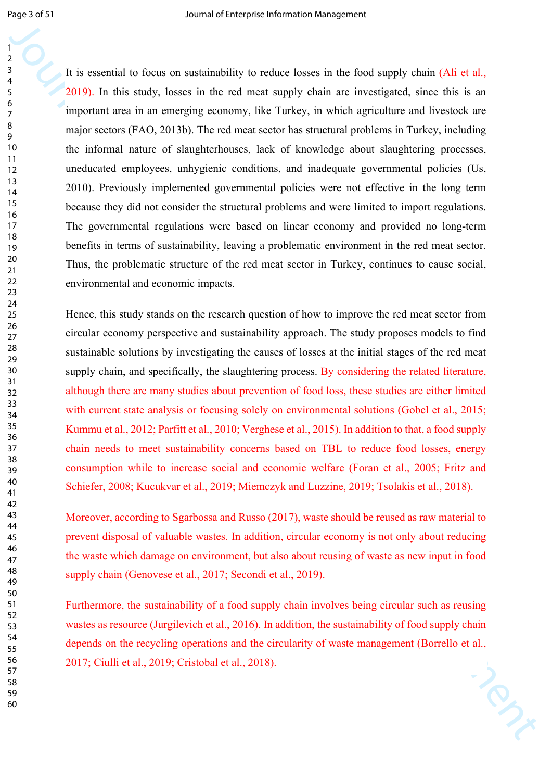Journal of the second interpret is the content of the second state in the second state in the second state in the second management (Siret also apply chain (Ai et al., 2019). It allows angle, bases in the content starpent It is essential to focus on sustainability to reduce losses in the food supply chain (Ali et al., 2019). In this study, losses in the red meat supply chain are investigated, since this is an important area in an emerging economy, like Turkey, in which agriculture and livestock are major sectors (FAO, 2013b). The red meat sector has structural problems in Turkey, including the informal nature of slaughterhouses, lack of knowledge about slaughtering processes, uneducated employees, unhygienic conditions, and inadequate governmental policies (Us, 2010). Previously implemented governmental policies were not effective in the long term because they did not consider the structural problems and were limited to import regulations. The governmental regulations were based on linear economy and provided no long-term benefits in terms of sustainability, leaving a problematic environment in the red meat sector. Thus, the problematic structure of the red meat sector in Turkey, continues to cause social, environmental and economic impacts.

Hence, this study stands on the research question of how to improve the red meat sector from circular economy perspective and sustainability approach. The study proposes models to find sustainable solutions by investigating the causes of losses at the initial stages of the red meat supply chain, and specifically, the slaughtering process. By considering the related literature, although there are many studies about prevention of food loss, these studies are either limited with current state analysis or focusing solely on environmental solutions (Gobel et al., 2015; Kummu et al., 2012; Parfitt et al., 2010; Verghese et al., 2015). In addition to that, a food supply chain needs to meet sustainability concerns based on TBL to reduce food losses, energy consumption while to increase social and economic welfare (Foran et al., 2005; Fritz and Schiefer, 2008; Kucukvar et al., 2019; Miemczyk and Luzzine, 2019; Tsolakis et al., 2018).

Moreover, according to Sgarbossa and Russo (2017), waste should be reused as raw material to prevent disposal of valuable wastes. In addition, circular economy is not only about reducing the waste which damage on environment, but also about reusing of waste as new input in food supply chain (Genovese et al., 2017; Secondi et al., 2019).

Furthermore, the sustainability of a food supply chain involves being circular such as reusing wastes as resource (Jurgilevich et al., 2016). In addition, the sustainability of food supply chain depends on the recycling operations and the circularity of waste management (Borrello et al., 2017; Ciulli et al., 2019; Cristobal et al., 2018).

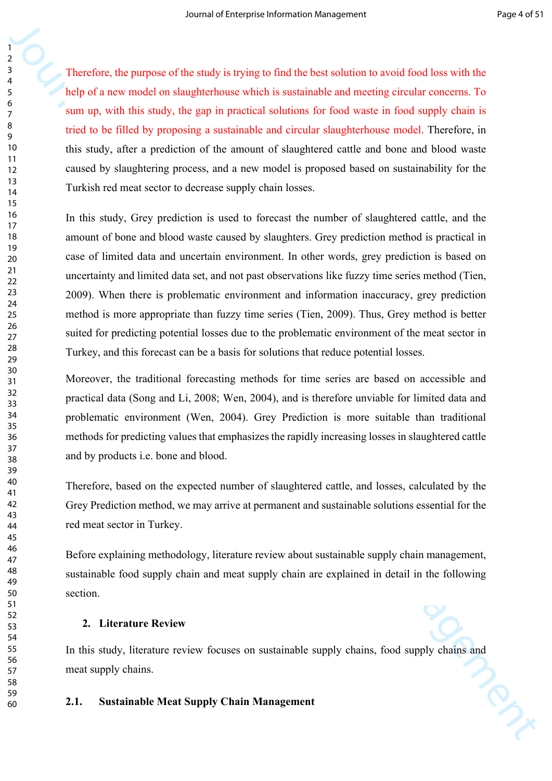Therefore, the purpose of the study is trying to find the best solution to avoid food loss with the help of a new model on slaughterhouse which is sustainable and meeting circular concerns. To sum up, with this study, the gap in practical solutions for food waste in food supply chain is tried to be filled by proposing a sustainable and circular slaughterhouse model. Therefore, in this study, after a prediction of the amount of slaughtered cattle and bone and blood waste caused by slaughtering process, and a new model is proposed based on sustainability for the Turkish red meat sector to decrease supply chain losses.

Journal of the standard interpret into the standard interpret in the standard formation of the standard formation of the standard formation of the standard formation Management and the standard standard into the standard In this study, Grey prediction is used to forecast the number of slaughtered cattle, and the amount of bone and blood waste caused by slaughters. Grey prediction method is practical in case of limited data and uncertain environment. In other words, grey prediction is based on uncertainty and limited data set, and not past observations like fuzzy time series method (Tien, 2009). When there is problematic environment and information inaccuracy, grey prediction method is more appropriate than fuzzy time series (Tien, 2009). Thus, Grey method is better suited for predicting potential losses due to the problematic environment of the meat sector in Turkey, and this forecast can be a basis for solutions that reduce potential losses.

Moreover, the traditional forecasting methods for time series are based on accessible and practical data (Song and Li, 2008; Wen, 2004), and is therefore unviable for limited data and problematic environment (Wen, 2004). Grey Prediction is more suitable than traditional methods for predicting values that emphasizes the rapidly increasing losses in slaughtered cattle and by products i.e. bone and blood.

Therefore, based on the expected number of slaughtered cattle, and losses, calculated by the Grey Prediction method, we may arrive at permanent and sustainable solutions essential for the red meat sector in Turkey.

Before explaining methodology, literature review about sustainable supply chain management, sustainable food supply chain and meat supply chain are explained in detail in the following section.

### **2. Literature Review**

In this study, literature review focuses on sustainable supply chains, food supply chains and meat supply chains.

#### **2.1. Sustainable Meat Supply Chain Management**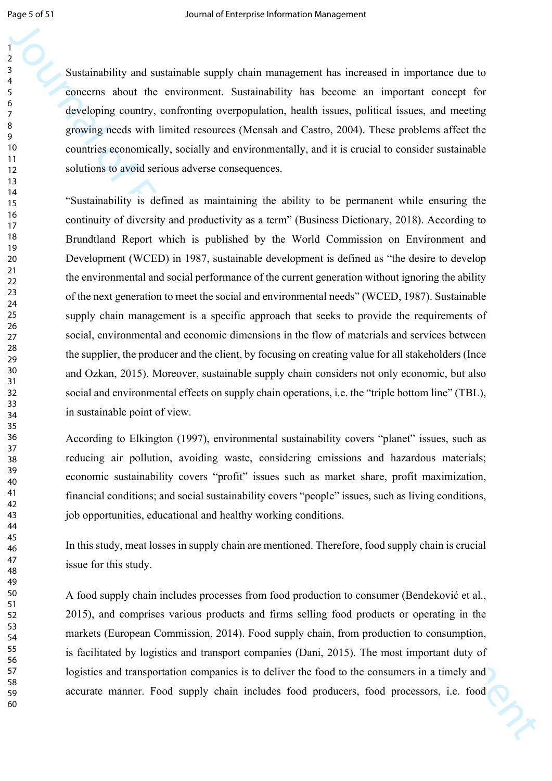Sustainability and sustainable supply chain management has increased in importance due to concerns about the environment. Sustainability has become an important concept for developing country, confronting overpopulation, health issues, political issues, and meeting growing needs with limited resources (Mensah and Castro, 2004). These problems affect the countries economically, socially and environmentally, and it is crucial to consider sustainable solutions to avoid serious adverse consequences.

3<br>
Socializativity and asstatinable supply chain reangement has increased in importance at the constrained above<br>
3. Sociologics country, confronting except<br>political, heather and political stocks. Assessing the method i "Sustainability is defined as maintaining the ability to be permanent while ensuring the continuity of diversity and productivity as a term" (Business Dictionary, 2018). According to Brundtland Report which is published by the World Commission on Environment and Development (WCED) in 1987, sustainable development is defined as "the desire to develop the environmental and social performance of the current generation without ignoring the ability of the next generation to meet the social and environmental needs" (WCED, 1987). Sustainable supply chain management is a specific approach that seeks to provide the requirements of social, environmental and economic dimensions in the flow of materials and services between the supplier, the producer and the client, by focusing on creating value for all stakeholders (Ince and Ozkan, 2015). Moreover, sustainable supply chain considers not only economic, but also social and environmental effects on supply chain operations, i.e. the "triple bottom line" (TBL), in sustainable point of view.

According to Elkington (1997), environmental sustainability covers "planet" issues, such as reducing air pollution, avoiding waste, considering emissions and hazardous materials; economic sustainability covers "profit" issues such as market share, profit maximization, financial conditions; and social sustainability covers "people" issues, such as living conditions, job opportunities, educational and healthy working conditions.

In this study, meat losses in supply chain are mentioned. Therefore, food supply chain is crucial issue for this study.

A food supply chain includes processes from food production to consumer (Bendeković et al., 2015), and comprises various products and firms selling food products or operating in the markets (European Commission, 2014). Food supply chain, from production to consumption, is facilitated by logistics and transport companies (Dani, 2015). The most important duty of logistics and transportation companies is to deliver the food to the consumers in a timely and accurate manner. Food supply chain includes food producers, food processors, i.e. food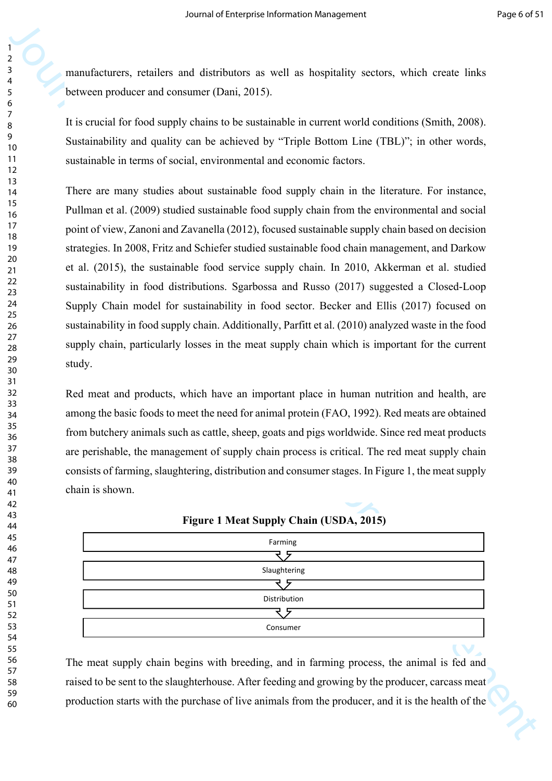manufacturers, retailers and distributors as well as hospitality sectors, which create links between producer and consumer (Dani, 2015).

It is crucial for food supply chains to be sustainable in current world conditions (Smith, 2008). Sustainability and quality can be achieved by "Triple Bottom Line (TBL)"; in other words, sustainable in terms of social, environmental and economic factors.

**Manuscriprise Internal of the United States and the United States with the United States (Data).** The Constrained Changement Changement World States (Data). The System Management Changement Changement Changement Changeme There are many studies about sustainable food supply chain in the literature. For instance, Pullman et al. (2009) studied sustainable food supply chain from the environmental and social point of view, Zanoni and Zavanella (2012), focused sustainable supply chain based on decision strategies. In 2008, Fritz and Schiefer studied sustainable food chain management, and Darkow et al. (2015), the sustainable food service supply chain. In 2010, Akkerman et al. studied sustainability in food distributions. Sgarbossa and Russo (2017) suggested a Closed-Loop Supply Chain model for sustainability in food sector. Becker and Ellis (2017) focused on sustainability in food supply chain. Additionally, Parfitt et al. (2010) analyzed waste in the food supply chain, particularly losses in the meat supply chain which is important for the current study.

Red meat and products, which have an important place in human nutrition and health, are among the basic foods to meet the need for animal protein (FAO, 1992). Red meats are obtained from butchery animals such as cattle, sheep, goats and pigs worldwide. Since red meat products are perishable, the management of supply chain process is critical. The red meat supply chain consists of farming, slaughtering, distribution and consumer stages. In Figure 1, the meat supply chain is shown.

| Farming      |
|--------------|
|              |
| Slaughtering |
|              |
| Distribution |
|              |
| Consumer     |

**Figure 1 Meat Supply Chain (USDA, 2015)**

The meat supply chain begins with breeding, and in farming process, the animal is fed and raised to be sent to the slaughterhouse. After feeding and growing by the producer, carcass meat production starts with the purchase of live animals from the producer, and it is the health of the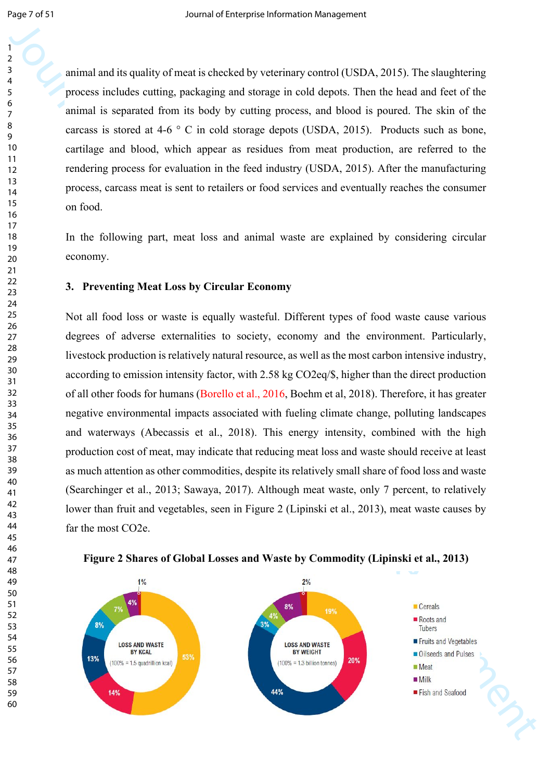animal and its quality of meat is checked by veterinary control (USDA, 2015). The slaughtering process includes cutting, packaging and storage in cold depots. Then the head and feet of the animal is separated from its body by cutting process, and blood is poured. The skin of the carcass is stored at 4-6  $\degree$  C in cold storage depots (USDA, 2015). Products such as bone, cartilage and blood, which appear as residues from meat production, are referred to the rendering process for evaluation in the feed industry (USDA, 2015). After the manufacturing process, carcass meat is sent to retailers or food services and eventually reaches the consumer on food.

In the following part, meat loss and animal waste are explained by considering circular economy.

#### **3. Preventing Meat Loss by Circular Economy**

Journal and the quality of meat is elsevloatly systems y usuand (1, Si)A, 2013). The sharphoton gradient and the simulation of the simulation of the simulation of the simulation of the simulation of the simulation of the Not all food loss or waste is equally wasteful. Different types of food waste cause various degrees of adverse externalities to society, economy and the environment. Particularly, livestock production is relatively natural resource, as well as the most carbon intensive industry, according to emission intensity factor, with 2.58 kg CO2eq/\$, higher than the direct production of all other foods for humans (Borello et al., 2016, Boehm et al, 2018). Therefore, it has greater negative environmental impacts associated with fueling climate change, polluting landscapes and waterways (Abecassis et al., 2018). This energy intensity, combined with the high production cost of meat, may indicate that reducing meat loss and waste should receive at least as much attention as other commodities, despite its relatively small share of food loss and waste (Searchinger et al., 2013; Sawaya, 2017). Although meat waste, only 7 percent, to relatively lower than fruit and vegetables, seen in Figure 2 (Lipinski et al., 2013), meat waste causes by far the most CO2e.



## **Figure 2 Shares of Global Losses and Waste by Commodity (Lipinski et al., 2013)**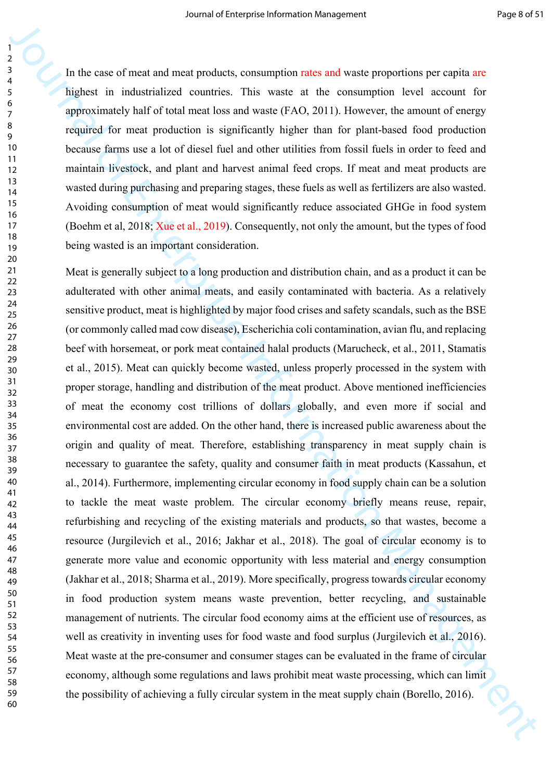In the case of meat and meat products, consumption rates and waste proportions per capita are highest in industrialized countries. This waste at the consumption level account for approximately half of total meat loss and waste (FAO, 2011). However, the amount of energy required for meat production is significantly higher than for plant-based food production because farms use a lot of diesel fuel and other utilities from fossil fuels in order to feed and maintain livestock, and plant and harvest animal feed crops. If meat and meat products are wasted during purchasing and preparing stages, these fuels as well as fertilizers are also wasted. Avoiding consumption of meat would significantly reduce associated GHGe in food system (Boehm et al, 2018; Xue et al., 2019). Consequently, not only the amount, but the types of food being wasted is an important consideration.

Journal of the teacheristic contents and weakly and weakly propositors per capita as the best of Equilibritis of contents in the season of the season in the last the season in the season in the season in the season in the Meat is generally subject to a long production and distribution chain, and as a product it can be adulterated with other animal meats, and easily contaminated with bacteria. As a relatively sensitive product, meat is highlighted by major food crises and safety scandals, such as the BSE (or commonly called mad cow disease), Escherichia coli contamination, avian flu, and replacing beef with horsemeat, or pork meat contained halal products (Marucheck, et al., 2011, Stamatis et al., 2015). Meat can quickly become wasted, unless properly processed in the system with proper storage, handling and distribution of the meat product. Above mentioned inefficiencies of meat the economy cost trillions of dollars globally, and even more if social and environmental cost are added. On the other hand, there is increased public awareness about the origin and quality of meat. Therefore, establishing transparency in meat supply chain is necessary to guarantee the safety, quality and consumer faith in meat products (Kassahun, et al., 2014). Furthermore, implementing circular economy in food supply chain can be a solution to tackle the meat waste problem. The circular economy briefly means reuse, repair, refurbishing and recycling of the existing materials and products, so that wastes, become a resource (Jurgilevich et al., 2016; Jakhar et al., 2018). The goal of circular economy is to generate more value and economic opportunity with less material and energy consumption (Jakhar et al., 2018; Sharma et al., 2019). More specifically, progress towards circular economy in food production system means waste prevention, better recycling, and sustainable management of nutrients. The circular food economy aims at the efficient use of resources, as well as creativity in inventing uses for food waste and food surplus (Jurgilevich et al., 2016). Meat waste at the pre-consumer and consumer stages can be evaluated in the frame of circular economy, although some regulations and laws prohibit meat waste processing, which can limit the possibility of achieving a fully circular system in the meat supply chain (Borello, 2016).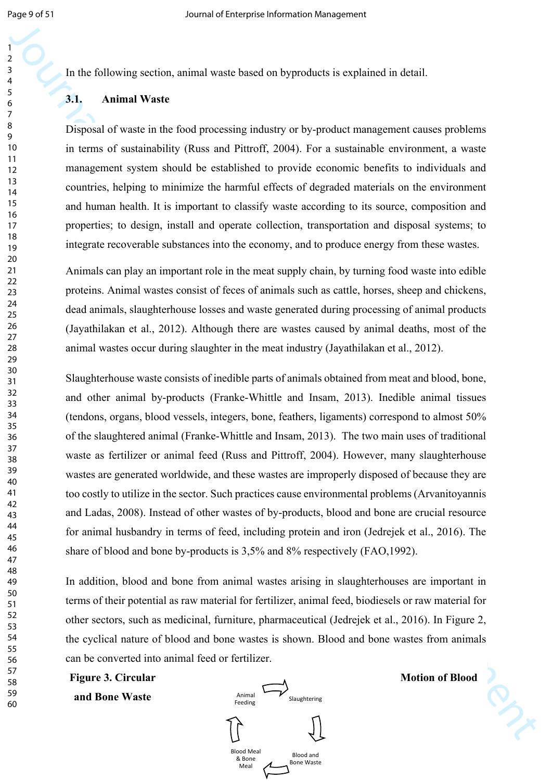In the following section, animal waste based on byproducts is explained in detail.

#### **3.1. Animal Waste**

Disposal of waste in the food processing industry or by-product management causes problems in terms of sustainability (Russ and Pittroff, 2004). For a sustainable environment, a waste management system should be established to provide economic benefits to individuals and countries, helping to minimize the harmful effects of degraded materials on the environment and human health. It is important to classify waste according to its source, composition and properties; to design, install and operate collection, transportation and disposal systems; to integrate recoverable substances into the economy, and to produce energy from these wastes.

Animals can play an important role in the meat supply chain, by turning food waste into edible proteins. Animal wastes consist of feces of animals such as cattle, horses, sheep and chickens, dead animals, slaughterhouse losses and waste generated during processing of animal products (Jayathilakan et al., 2012). Although there are wastes caused by animal deaths, most of the animal wastes occur during slaughter in the meat industry (Jayathilakan et al., 2012).

Journal of the single-term is easy to the system of the system of the system of the system of the system of the system of the system of the system of the system of the system of the system of the system of the system of t Slaughterhouse waste consists of inedible parts of animals obtained from meat and blood, bone, and other animal by-products (Franke-Whittle and Insam, 2013). Inedible animal tissues (tendons, organs, blood vessels, integers, bone, feathers, ligaments) correspond to almost 50% of the slaughtered animal (Franke-Whittle and Insam, 2013). The two main uses of traditional waste as fertilizer or animal feed (Russ and Pittroff, 2004). However, many slaughterhouse wastes are generated worldwide, and these wastes are improperly disposed of because they are too costly to utilize in the sector. Such practices cause environmental problems (Arvanitoyannis and Ladas, 2008). Instead of other wastes of by-products, blood and bone are crucial resource for animal husbandry in terms of feed, including protein and iron (Jedrejek et al., 2016). The share of blood and bone by-products is 3,5% and 8% respectively (FAO,1992).

In addition, blood and bone from animal wastes arising in slaughterhouses are important in terms of their potential as raw material for fertilizer, animal feed, biodiesels or raw material for other sectors, such as medicinal, furniture, pharmaceutical (Jedrejek et al., 2016). In Figure 2, the cyclical nature of blood and bone wastes is shown. Blood and bone wastes from animals can be converted into animal feed or fertilizer.



**Figure 3. Circular Motion of Blood**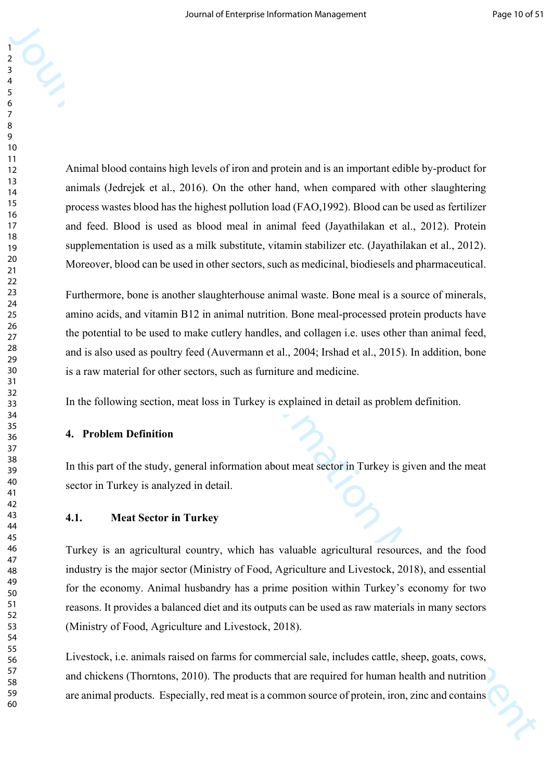**Formal of Enterprise Interpretation** in the set of the members and is an important effekt by-product for<br>the member of Enterprise Institute Interpretation [M](http://tureng.com/tr/turkce-ingilizce/ministry%20of%20food%2c%20agriculture%20and%20livestock)anagement work and the shape members and the stress and the stre Animal blood contains high levels of iron and protein and is an important edible by-product for animals (Jedrejek et al., 2016). On the other hand, when compared with other slaughtering process wastes blood has the highest pollution load (FAO,1992). Blood can be used as fertilizer and feed. Blood is used as blood meal in animal feed (Jayathilakan et al., 2012). Protein supplementation is used as a milk substitute, vitamin stabilizer etc. (Jayathilakan et al., 2012). Moreover, blood can be used in other sectors, such as medicinal, biodiesels and pharmaceutical.

Furthermore, bone is another slaughterhouse animal waste. Bone meal is a source of minerals, amino acids, and vitamin B12 in animal nutrition. Bone meal-processed protein products have the potential to be used to make cutlery handles, and collagen i.e. uses other than animal feed, and is also used as poultry feed (Auvermann et al., 2004; Irshad et al., 2015). In addition, bone is a raw material for other sectors, such as furniture and medicine.

In the following section, meat loss in Turkey is explained in detail as problem definition.

#### **4. Problem Definition**

In this part of the study, general information about meat sector in Turkey is given and the meat sector in Turkey is analyzed in detail.

#### **4.1. Meat Sector in Turkey**

Turkey is an agricultural country, which has valuable agricultural resources, and the food industry is the major sector (Ministry of Food, Agriculture and Livestock, 2018), and essential for the economy. Animal husbandry has a prime position within Turkey's economy for two reasons. It provides a balanced diet and its outputs can be used as raw materials in many sectors (Ministry of Food, Agriculture and Livestock, 2018).

Livestock, i.e. animals raised on farms for commercial sale, includes cattle, sheep, goats, cows, and chickens (Thorntons, 2010). The products that are required for human health and nutrition are animal products. Especially, red meat is a common source of protein, iron, zinc and contains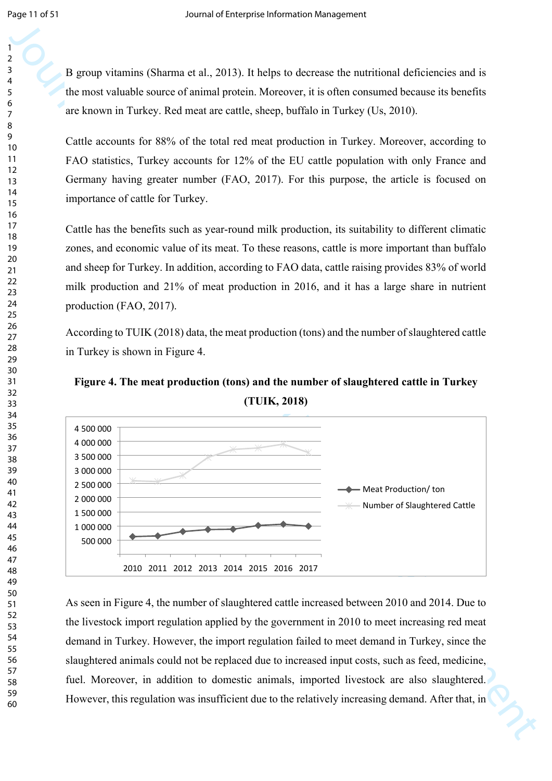B group vitamins (Sharma et al., 2013). It helps to decrease the nutritional deficiencies and is the most valuable source of animal protein. Moreover, it is often consumed because its benefits are known in Turkey. Red meat are cattle, sheep, buffalo in Turkey (Us, 2010).

Cattle accounts for 88% of the total red meat production in Turkey. Moreover, according to FAO statistics, Turkey accounts for 12% of the EU cattle population with only France and Germany having greater number (FAO, 2017). For this purpose, the article is focused on importance of cattle for Turkey.

Cattle has the benefits such as year-round milk production, its suitability to different climatic zones, and economic value of its meat. To these reasons, cattle is more important than buffalo and sheep for Turkey. In addition, according to FAO data, cattle raising provides 83% of world milk production and 21% of meat production in 2016, and it has a large share in nutrient production (FAO, 2017).

According to TUIK (2018) data, the meat production (tons) and the number of slaughtered cattle in Turkey is shown in Figure 4.





As seen in Figure 4, the number of slaughtered cattle increased between 2010 and 2014. Due to the livestock import regulation applied by the government in 2010 to meet increasing red meat demand in Turkey. However, the import regulation failed to meet demand in Turkey, since the slaughtered animals could not be replaced due to increased input costs, such as feed, medicine, fuel. Moreover, in addition to domestic animals, imported livestock are also slaughtered. However, this regulation was insufficient due to the relatively increasing demand. After that, in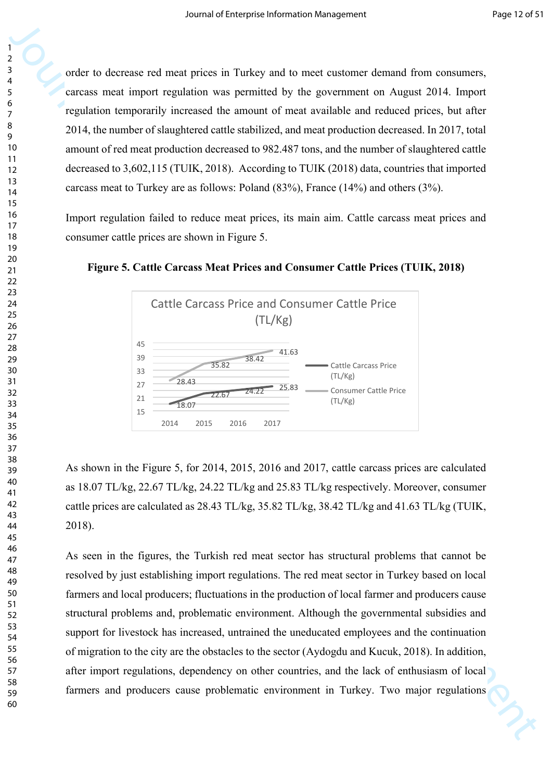order to decrease red meat prices in Turkey and to meet customer demand from consumers, carcass meat import regulation was permitted by the government on August 2014. Import regulation temporarily increased the amount of meat available and reduced prices, but after 2014, the number of slaughtered cattle stabilized, and meat production decreased. In 2017, total amount of red meat production decreased to 982.487 tons, and the number of slaughtered cattle decreased to 3,602,115 (TUIK, 2018). According to TUIK (2018) data, countries that imported carcass meat to Turkey are as follows: Poland (83%), France (14%) and others (3%).

Import regulation failed to reduce meat prices, its main aim. Cattle carcass meat prices and consumer cattle prices are shown in Figure 5.





As shown in the Figure 5, for 2014, 2015, 2016 and 2017, cattle carcass prices are calculated as 18.07 TL/kg, 22.67 TL/kg, 24.22 TL/kg and 25.83 TL/kg respectively. Moreover, consumer cattle prices are calculated as 28.43 TL/kg, 35.82 TL/kg, 38.42 TL/kg and 41.63 TL/kg (TUIK, 2018).

3<br>
Houstin is about a most model move in Turkoy and to meet column domain from consumer,<br>
consume and impact for Enterprise Information of the government in Angust 2014. In gond<br>
or regulation transportably increased the As seen in the figures, the Turkish red meat sector has structural problems that cannot be resolved by just establishing import regulations. The red meat sector in Turkey based on local farmers and local producers; fluctuations in the production of local farmer and producers cause structural problems and, problematic environment. Although the governmental subsidies and support for livestock has increased, untrained the uneducated employees and the continuation of migration to the city are the obstacles to the sector (Aydogdu and Kucuk, 2018). In addition, after import regulations, dependency on other countries, and the lack of enthusiasm of local farmers and producers cause problematic environment in Turkey. Two major regulations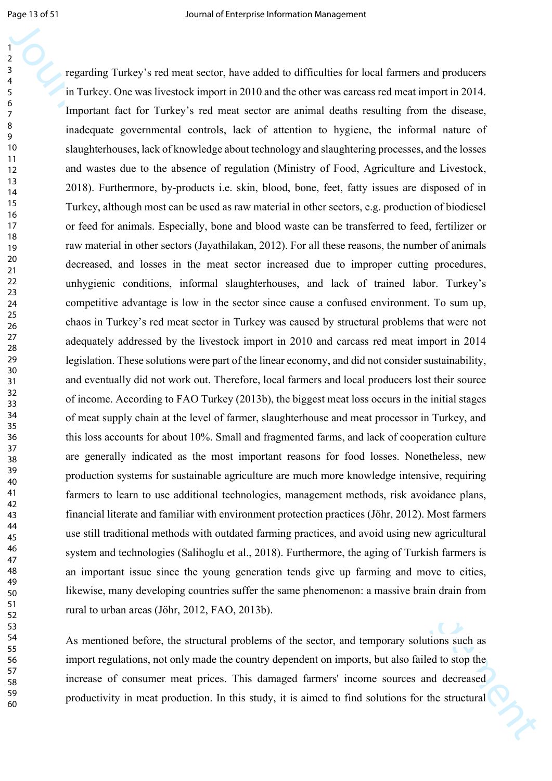Journal of the system of the system of the system of the system of the system of the system of the system of the system of the system of the system of the system of the system of the system of the system of the system of regarding Turkey's red meat sector, have added to difficulties for local farmers and producers in Turkey. One was livestock import in 2010 and the other was carcass red meat import in 2014. Important fact for Turkey's red meat sector are animal deaths resulting from the disease, inadequate governmental controls, lack of attention to hygiene, the informal nature of slaughterhouses, lack of knowledge about technology and slaughtering processes, and the losses and wastes due to the absence of regulation (Ministry of Food, Agriculture and Livestock, 2018). Furthermore, by-products i.e. skin, blood, bone, feet, fatty issues are disposed of in Turkey, although most can be used as raw material in other sectors, e.g. production of biodiesel or feed for animals. Especially, bone and blood waste can be transferred to feed, fertilizer or raw material in other sectors (Jayathilakan, 2012). For all these reasons, the number of animals decreased, and losses in the meat sector increased due to improper cutting procedures, unhygienic conditions, informal slaughterhouses, and lack of trained labor. Turkey's competitive advantage is low in the sector since cause a confused environment. To sum up, chaos in Turkey's red meat sector in Turkey was caused by structural problems that were not adequately addressed by the livestock import in 2010 and carcass red meat import in 2014 legislation. These solutions were part of the linear economy, and did not consider sustainability, and eventually did not work out. Therefore, local farmers and local producers lost their source of income. According to FAO Turkey (2013b), the biggest meat loss occurs in the initial stages of meat supply chain at the level of farmer, slaughterhouse and meat processor in Turkey, and this loss accounts for about 10%. Small and fragmented farms, and lack of cooperation culture are generally indicated as the most important reasons for food losses. Nonetheless, new production systems for sustainable agriculture are much more knowledge intensive, requiring farmers to learn to use additional technologies, management methods, risk avoidance plans, financial literate and familiar with environment protection practices (Jöhr, 2012). Most farmers use still traditional methods with outdated farming practices, and avoid using new agricultural system and technologies (Salihoglu et al., 2018). Furthermore, the aging of Turkish farmers is an important issue since the young generation tends give up farming and move to cities, likewise, many developing countries suffer the same phenomenon: a massive brain drain from rural to urban areas (Jöhr, 2012, FAO, 2013b).

As mentioned before, the structural problems of the sector, and temporary solutions such as import regulations, not only made the country dependent on imports, but also failed to stop the increase of consumer meat prices. This damaged farmers' income sources and decreased productivity in meat production. In this study, it is aimed to find solutions for the structural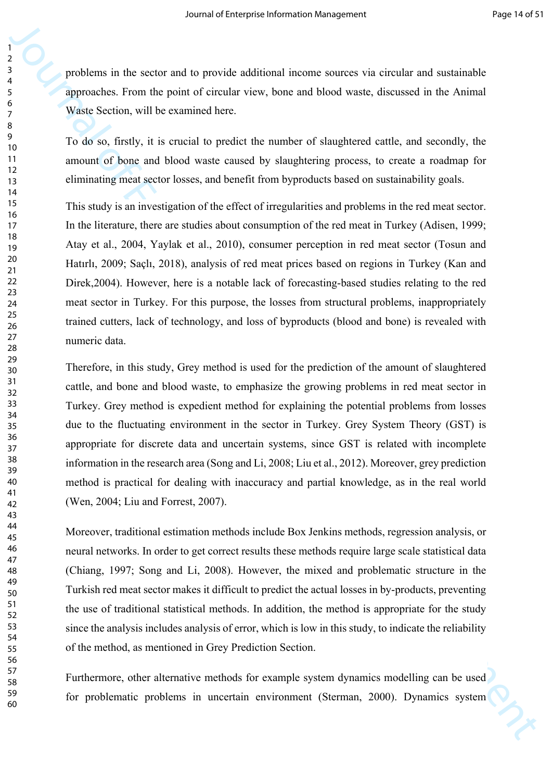problems in the sector and to provide additional income sources via circular and sustainable approaches. From the point of circular view, bone and blood waste, discussed in the Animal Waste Section, will be examined here.

To do so, firstly, it is crucial to predict the number of slaughtered cattle, and secondly, the amount of bone and blood waste caused by slaughtering process, to create a roadmap for eliminating meat sector losses, and benefit from byproducts based on sustainability goals.

Journal of the scale and is provide additioned income sources via circular and setsmantive propositions. Final the point of Gircular tries and blood weats, discussed in the Animal Warge Scalins. Final the point of Scalins This study is an investigation of the effect of irregularities and problems in the red meat sector. In the literature, there are studies about consumption of the red meat in Turkey (Adisen, 1999; Atay et al., 2004, Yaylak et al., 2010), consumer perception in red meat sector (Tosun and Hatırlı, 2009; Saçlı, 2018), analysis of red meat prices based on regions in Turkey (Kan and Direk,2004). However, here is a notable lack of forecasting-based studies relating to the red meat sector in Turkey. For this purpose, the losses from structural problems, inappropriately trained cutters, lack of technology, and loss of byproducts (blood and bone) is revealed with numeric data.

Therefore, in this study, Grey method is used for the prediction of the amount of slaughtered cattle, and bone and blood waste, to emphasize the growing problems in red meat sector in Turkey. Grey method is expedient method for explaining the potential problems from losses due to the fluctuating environment in the sector in Turkey. Grey System Theory (GST) is appropriate for discrete data and uncertain systems, since GST is related with incomplete information in the research area (Song and Li, 2008; Liu et al., 2012). Moreover, grey prediction method is practical for dealing with inaccuracy and partial knowledge, as in the real world (Wen, 2004; Liu and Forrest, 2007).

Moreover, traditional estimation methods include Box Jenkins methods, regression analysis, or neural networks. In order to get correct results these methods require large scale statistical data (Chiang, 1997; Song and Li, 2008). However, the mixed and problematic structure in the Turkish red meat sector makes it difficult to predict the actual losses in by-products, preventing the use of traditional statistical methods. In addition, the method is appropriate for the study since the analysis includes analysis of error, which is low in this study, to indicate the reliability of the method, as mentioned in Grey Prediction Section.

Furthermore, other alternative methods for example system dynamics modelling can be used for problematic problems in uncertain environment (Sterman, 2000). Dynamics system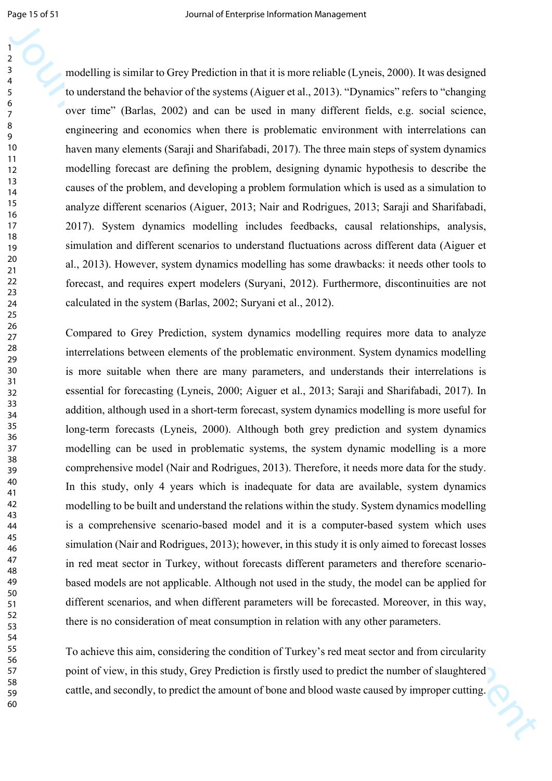modelling is similar to Grey Prediction in that it is more reliable (Lyneis, 2000). It was designed to understand the behavior of the systems (Aiguer et al., 2013). "Dynamics" refers to "changing over time" (Barlas, 2002) and can be used in many different fields, e.g. social science, engineering and economics when there is problematic environment with interrelations can haven many elements (Saraji and Sharifabadi, 2017). The three main steps of system dynamics modelling forecast are defining the problem, designing dynamic hypothesis to describe the causes of the problem, and developing a problem formulation which is used as a simulation to analyze different scenarios (Aiguer, 2013; Nair and Rodrigues, 2013; Saraji and Sharifabadi, 2017). System dynamics modelling includes feedbacks, causal relationships, analysis, simulation and different scenarios to understand fluctuations across different data (Aiguer et al., 2013). However, system dynamics modelling has some drawbacks: it needs other tools to forecast, and requires expert modelers (Suryani, 2012). Furthermore, discontinuities are not calculated in the system (Barlas, 2002; Suryani et al., 2012).

Journal of the state of the state of the state of the state of the state of the state of the state of the state of the state of the state of the state of the state of the state of the state of the state of the state of th Compared to Grey Prediction, system dynamics modelling requires more data to analyze interrelations between elements of the problematic environment. System dynamics modelling is more suitable when there are many parameters, and understands their interrelations is essential for forecasting (Lyneis, 2000; Aiguer et al., 2013; Saraji and Sharifabadi, 2017). In addition, although used in a short-term forecast, system dynamics modelling is more useful for long-term forecasts (Lyneis, 2000). Although both grey prediction and system dynamics modelling can be used in problematic systems, the system dynamic modelling is a more comprehensive model (Nair and Rodrigues, 2013). Therefore, it needs more data for the study. In this study, only 4 years which is inadequate for data are available, system dynamics modelling to be built and understand the relations within the study. System dynamics modelling is a comprehensive scenario-based model and it is a computer-based system which uses simulation (Nair and Rodrigues, 2013); however, in this study it is only aimed to forecast losses in red meat sector in Turkey, without forecasts different parameters and therefore scenariobased models are not applicable. Although not used in the study, the model can be applied for different scenarios, and when different parameters will be forecasted. Moreover, in this way, there is no consideration of meat consumption in relation with any other parameters.

To achieve this aim, considering the condition of Turkey's red meat sector and from circularity point of view, in this study, Grey Prediction is firstly used to predict the number of slaughtered cattle, and secondly, to predict the amount of bone and blood waste caused by improper cutting.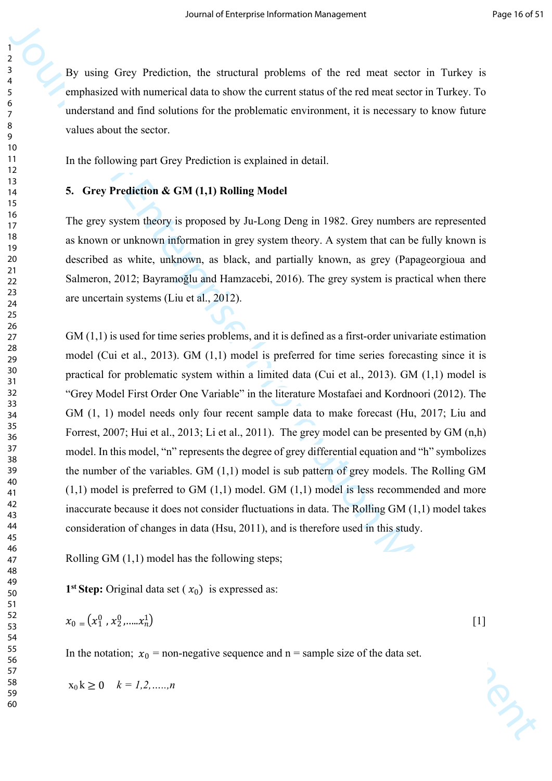By using Grey Prediction, the structural problems of the red meat sector in Turkey is emphasized with numerical data to show the current status of the red meat sector in Turkey. To understand and find solutions for the problematic environment, it is necessary to know future values about the sector.

In the following part Grey Prediction is explained in detail.

#### **5. Grey Prediction & GM (1,1) Rolling Model**

The grey system theory is proposed by Ju-Long Deng in 1982. Grey numbers are represented as known or unknown information in grey system theory. A system that can be fully known is described as white, unknown, as black, and partially known, as grey (Papageorgioua and Salmeron, 2012; Bayramoğlu and Hamzacebi, 2016). The grey system is practical when there are uncertain systems (Liu et al., 2012).

By using Givey Prediction, the studient profelence of the real most section in factory is the conduction of the model distance of the real most section in the stress of the conduction Management Case of the stress in the GM (1,1) is used for time series problems, and it is defined as a first-order univariate estimation model (Cui et al., 2013). GM (1,1) model is preferred for time series forecasting since it is practical for problematic system within a limited data (Cui et al., 2013). GM (1,1) model is "Grey Model First Order One Variable" in the literature Mostafaei and Kordnoori (2012). The GM  $(1, 1)$  model needs only four recent sample data to make forecast (Hu, 2017; Liu and Forrest, 2007; Hui et al., 2013; Li et al., 2011). The grey model can be presented by GM (n,h) model. In this model, "n" represents the degree of grey differential equation and "h" symbolizes the number of the variables. GM (1,1) model is sub pattern of grey models. The Rolling GM  $(1,1)$  model is preferred to GM  $(1,1)$  model. GM  $(1,1)$  model is less recommended and more inaccurate because it does not consider fluctuations in data. The Rolling GM (1,1) model takes consideration of changes in data (Hsu, 2011), and is therefore used in this study.

Rolling GM (1,1) model has the following steps;

**1**<sup>st</sup> **Step:** Original data set  $(x_0)$  is expressed as:

$$
x_0 = (x_1^0, x_2^0, \dots, x_n^1) \tag{1}
$$

In the notation;  $x_0$  = non-negative sequence and n = sample size of the data set.

$$
x_0 k \ge 0 \quad k = 1, 2, \dots, n
$$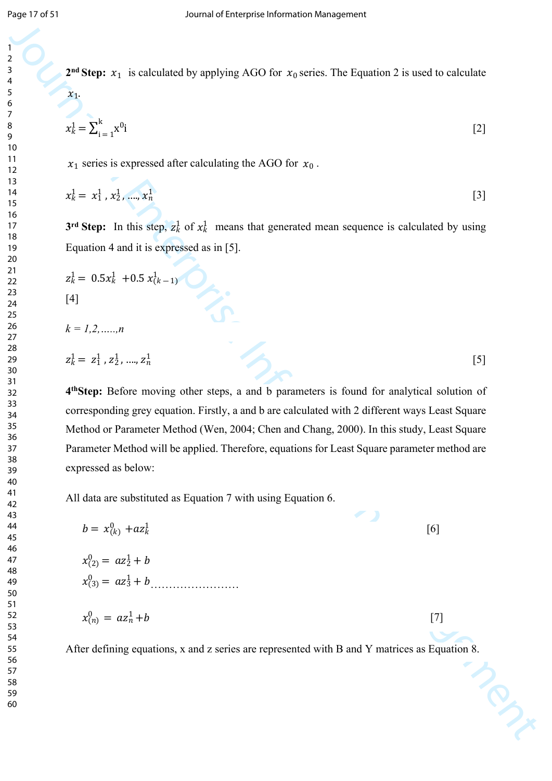$$
x_k^1 = \sum_{i=1}^k x^0 i
$$

$$
x_k^1 = x_1^1, x_2^1, \dots, x_n^1 \tag{3}
$$

$$
z_k^1 = 0.5x_k^1 + 0.5x_{(k-1)}^1
$$

$$
k=1,2,......,n
$$

$$
z_k^1 = z_1^1, z_2^1, \dots, z_n^1 \tag{5}
$$

| $x_k^1 = \sum_{i=1}^k x^{0_i}$                                  |                                                                                                                  | $[2]$ |
|-----------------------------------------------------------------|------------------------------------------------------------------------------------------------------------------|-------|
| $x_1$ series is expressed after calculating the AGO for $x_0$ . |                                                                                                                  |       |
| $x_k^1 = x_1^1$ , $x_2^1$ , , $x_n^1$                           |                                                                                                                  | $[3]$ |
|                                                                 | 3 <sup>rd</sup> Step: In this step, $z_k^1$ of $x_k^1$ means that generated mean sequence is calculated by using |       |
| Equation 4 and it is expressed as in [5].                       |                                                                                                                  |       |
| $z_k^1 = 0.5x_k^1 + 0.5x_{(k-1)}^1$                             |                                                                                                                  |       |
|                                                                 |                                                                                                                  |       |
| $k = 1, 2, \ldots, n$                                           |                                                                                                                  |       |
| $z_k^1 = z_1^1$ , $z_2^1$ , , $z_n^1$                           |                                                                                                                  | [5]   |
|                                                                 | 4th Step: Before moving other steps, a and b parameters is found for analytical solution of                      |       |
|                                                                 | corresponding grey equation. Firstly, a and b are calculated with 2 different ways Least Square                  |       |
|                                                                 | Method or Parameter Method (Wen, 2004; Chen and Chang, 2000). In this study, Least Square                        |       |
|                                                                 |                                                                                                                  |       |
|                                                                 | Parameter Method will be applied. Therefore, equations for Least Square parameter method are                     |       |
| expressed as below:                                             |                                                                                                                  |       |
| All data are substituted as Equation 7 with using Equation 6.   |                                                                                                                  |       |
| $b = x_{(k)}^0 + az_k^1$                                        | [6]                                                                                                              |       |
| $x_{(2)}^0 = az_2^1 + b$                                        |                                                                                                                  |       |
| $x_{(3)}^0 = az_3^1 + b$                                        |                                                                                                                  |       |
| $x_{(n)}^0 = az_n^1 + b$                                        | $[7]$                                                                                                            |       |
|                                                                 | After defining equations, x and z series are represented with B and Y matrices as Equation 8.                    |       |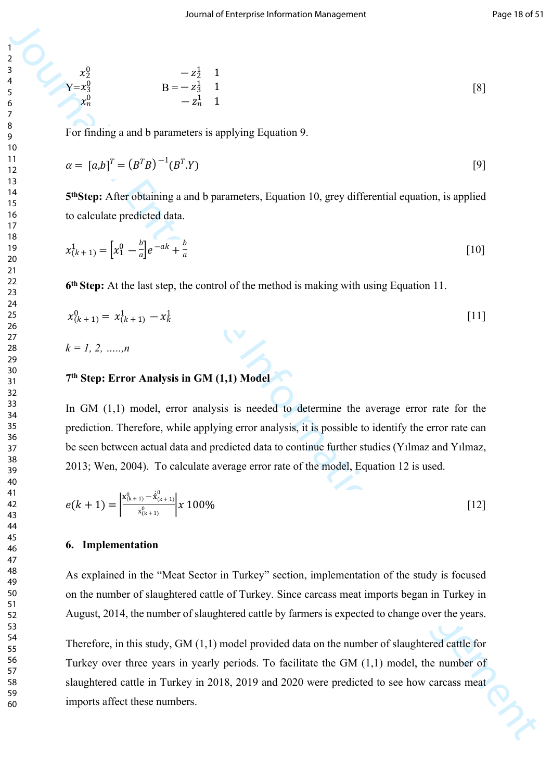$$
\begin{array}{ccc}\nx_2^0 & -z_2^1 & 1 \\
Y = x_3^0 & B = -z_3^1 & 1 \\
x_n^0 & -z_n^1 & 1\n\end{array} \tag{8}
$$

For finding a and b parameters is applying Equation 9.

$$
\alpha = [a,b]^T = (B^T B)^{-1} (B^T . Y) \tag{9}
$$

**5 thStep:** After obtaining a and b parameters, Equation 10, grey differential equation, is applied to calculate predicted data.

$$
x_{(k+1)}^1 = \left[ x_1^0 - \frac{b}{a} \right] e^{-ak} + \frac{b}{a}
$$
 [10]

**6 th Step:** At the last step, the control of the method is making with using Equation 11.

$$
x_{(k+1)}^0 = x_{(k+1)}^1 - x_k^1 \tag{11}
$$

*k = 1, 2, …..,n*

 $x_2^0$  $x_3^0$  $\boldsymbol{\chi}$ 0  $\overline{n}$ 

#### **7 th Step: Error Analysis in GM (1,1) Model**

In GM  $(1,1)$  model, error analysis is needed to determine the average error rate for the prediction. Therefore, while applying error analysis, it is possible to identify the error rate can be seen between actual data and predicted data to continue further studies (Yılmaz and Yılmaz, 2013; Wen, 2004). To calculate average error rate of the model, Equation 12 is used.

$$
e(k+1) = \left| \frac{x_{(k+1)}^0 - \dot{x}_{(k+1)}^0}{x_{(k+1)}^0} \right| x \, 100\%
$$
 [12]

#### **6. Implementation**

As explained in the "Meat Sector in Turkey" section, implementation of the study is focused on the number of slaughtered cattle of Turkey. Since carcass meat imports began in Turkey in August, 2014, the number of slaughtered cattle by farmers is expected to change over the years.

3<br>  $\frac{1}{2}$ <br>  $\frac{1}{2}$ <br>  $\frac{1}{2}$ <br>  $\frac{1}{2}$ <br>  $\frac{1}{2}$ <br>  $\frac{1}{2}$ <br>
For finding a eard b parameters is applying Equation 9.<br>  $\alpha = [a,b]^2 = (b^2b)^{-1}(b^5)y$ <br>  $\alpha = [a,b]^2 = (b^2b)^{-1}(b^5)y$ <br>
59 Steep: Aftercoloniting a eard b paramet Therefore, in this study, GM (1,1) model provided data on the number of slaughtered cattle for Turkey over three years in yearly periods. To facilitate the GM (1,1) model, the number of slaughtered cattle in Turkey in 2018, 2019 and 2020 were predicted to see how carcass meat imports affect these numbers.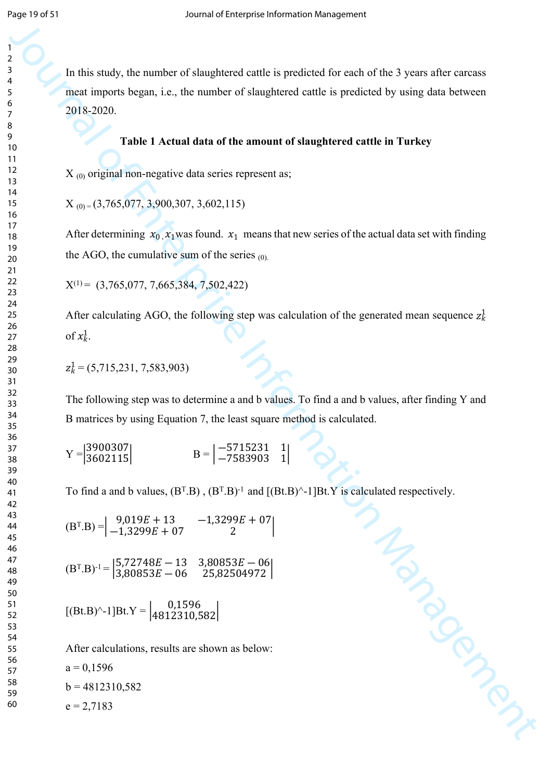In this study, the number of slaughtered cattle is predicted for each of the 3 years after carcass meat imports began, i.e., the number of slaughtered cattle is predicted by using data between 2018-2020.

#### **Table 1 Actual data of the amount of slaughtered cattle in Turkey**

 $X_{(0)}$  original non-negative data series represent as;

 $X_{(0)} = (3,765,077, 3,900,307, 3,602,115)$ 

After determining  $x_0$ ,  $x_1$  was found.  $x_1$  means that new series of the actual data set with finding the AGO, the cumulative sum of the series  $(0)$ .

 $X^{(1)} = (3,765,077, 7,665,384, 7,502,422)$ 

After calculating AGO, the following step was calculation of the generated mean sequence  $z_k^1$ of  $x_k^1$ .

$$
z_k^1 = (5, 715, 231, 7, 583, 903)
$$

The following step was to determine a and b values. To find a and b values, after finding Y and B matrices by using Equation 7, the least square method is calculated.

$$
Y = \begin{vmatrix} 3900307 \\ 3602115 \end{vmatrix} \qquad B = \begin{vmatrix} -5715231 & 1 \\ -7583903 & 1 \end{vmatrix}
$$

Management Management To find a and b values,  $(B^T.B)$ ,  $(B^T.B)^{-1}$  and  $[(Bt.B)^{\wedge} -1]Bt.Y$  is calculated respectively.

$$
(BT.B) = \begin{vmatrix} 9.019E + 13 & -1.3299E + 07 \\ -1.3299E + 07 & 2 \end{vmatrix}
$$

$$
(BT.B)-1 = \begin{vmatrix} 5,72748E - 13 & 3,80853E - 06 \\ 3,80853E - 06 & 25,82504972 \end{vmatrix}
$$

$$
[(Bt.B)^{\wedge} - 1]Bt.Y = \begin{vmatrix} 0.1596 \\ 4812310.582 \end{vmatrix}
$$

After calculations, results are shown as below:

 $a = 0,1596$ 

 $b = 4812310,582$ 

 $e = 2.7183$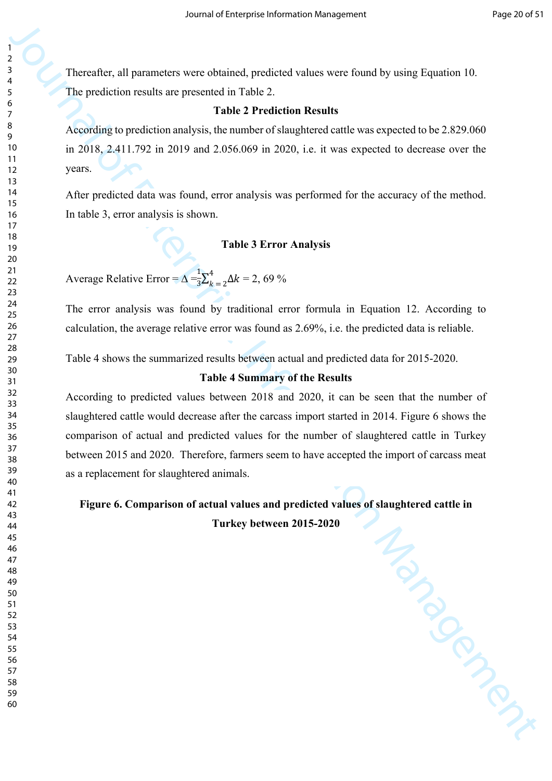Thereafter, all parameters were obtained, predicted values were found by using Equation 10. The prediction results are presented in Table 2.

#### **Table 2 Prediction Results**

According to prediction analysis, the number of slaughtered cattle was expected to be 2.829.060 in 2018, 2.411.792 in 2019 and 2.056.069 in 2020, i.e. it was expected to decrease over the years.

After predicted data was found, error analysis was performed for the accuracy of the method. In table 3, error analysis is shown.

## **Table 3 Error Analysis**

Average Relative Error =  $\Delta = \frac{1}{2} \sum_{k=2}^{4} \Delta k = 2,69\%$  $\frac{1}{3}\sum_k^4$  $k = 2^{\Delta k}$ 

The error analysis was found by traditional error formula in Equation 12. According to calculation, the average relative error was found as 2.69%, i.e. the predicted data is reliable.

Table 4 shows the summarized results between actual and predicted data for 2015-2020.

#### **Table 4 Summary of the Results**

According to predicted values between 2018 and 2020, it can be seen that the number of slaughtered cattle would decrease after the carcass import started in 2014. Figure 6 shows the comparison of actual and predicted values for the number of slaughtered cattle in Turkey between 2015 and 2020. Therefore, farmers seem to have accepted the import of carcass meat as a replacement for slaughtered animals.

Management **Figure 6. Comparison of actual values and predicted values of slaughtered cattle in** 

**Turkey between 2015-2020**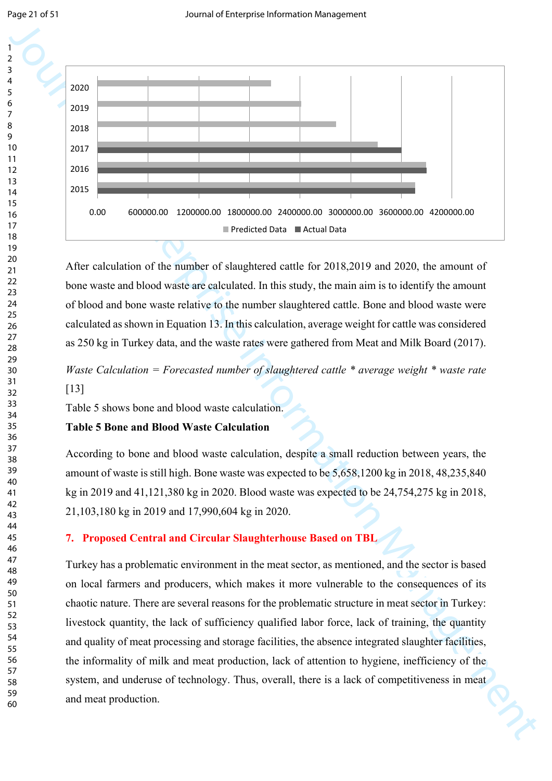

After calculation of the number of slaughtered cattle for 2018,2019 and 2020, the amount of bone waste and blood waste are calculated. In this study, the main aim is to identify the amount of blood and bone waste relative to the number slaughtered cattle. Bone and blood waste were calculated as shown in Equation 13. In this calculation, average weight for cattle was considered as 250 kg in Turkey data, and the waste rates were gathered from Meat and Milk Board (2017).

*Waste Calculation = Forecasted number of slaughtered cattle \* average weight \* waste rate*  [13]

Table 5 shows bone and blood waste calculation.

## **Table 5 Bone and Blood Waste Calculation**

According to bone and blood waste calculation, despite a small reduction between years, the amount of waste is still high. Bone waste was expected to be 5,658,1200 kg in 2018, 48,235,840 kg in 2019 and 41,121,380 kg in 2020. Blood waste was expected to be 24,754,275 kg in 2018, 21,103,180 kg in 2019 and 17,990,604 kg in 2020.

## **7. Proposed Central and Circular Slaughterhouse Based on TBL**

Turkey has a problematic environment in the meat sector, as mentioned, and the sector is based on local farmers and producers, which makes it more vulnerable to the consequences of its chaotic nature. There are several reasons for the problematic structure in meat sector in Turkey: livestock quantity, the lack of sufficiency qualified labor force, lack of training, the quantity and quality of meat processing and storage facilities, the absence integrated slaughter facilities, the informality of milk and meat production, lack of attention to hygiene, inefficiency of the system, and underuse of technology. Thus, overall, there is a lack of competitiveness in meat and meat production.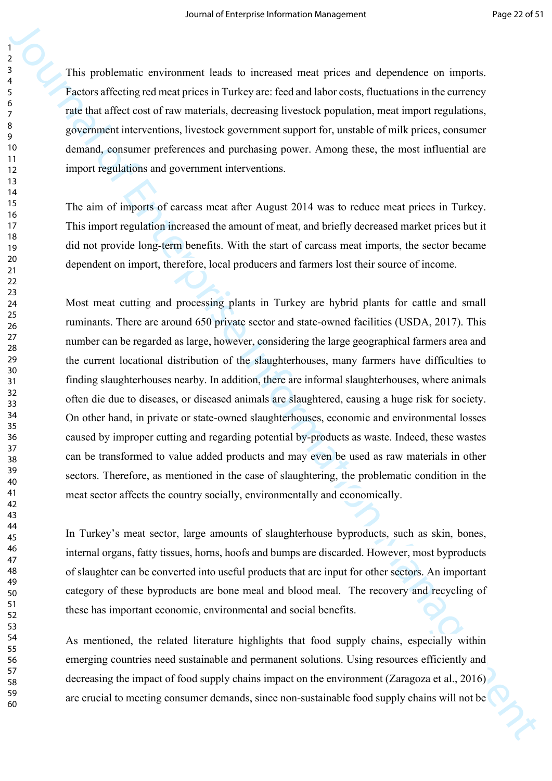This problematic environment leads to increased meat prices and dependence on imports. Factors affecting red meat prices in Turkey are: feed and labor costs, fluctuations in the currency rate that affect cost of raw materials, decreasing livestock population, meat import regulations, government interventions, livestock government support for, unstable of milk prices, consumer demand, consumer preferences and purchasing power. Among these, the most influential are import regulations and government interventions.

The aim of imports of carcass meat after August 2014 was to reduce meat prices in Turkey. This import regulation increased the amount of meat, and briefly decreased market prices but it did not provide long-term benefits. With the start of carcass meat imports, the sector became dependent on import, therefore, local producers and farmers lost their source of income.

This problematic convincions heads to increased meat process on dependents on organisation of the protocolumn process in Tarkey accordination increases the enterprise Information Management and the control of the enterpri Most meat cutting and processing plants in Turkey are hybrid plants for cattle and small ruminants. There are around 650 private sector and state-owned facilities (USDA, 2017). This number can be regarded as large, however, considering the large geographical farmers area and the current locational distribution of the slaughterhouses, many farmers have difficulties to finding slaughterhouses nearby. In addition, there are informal slaughterhouses, where animals often die due to diseases, or diseased animals are slaughtered, causing a huge risk for society. On other hand, in private or state-owned slaughterhouses, economic and environmental losses caused by improper cutting and regarding potential by-products as waste. Indeed, these wastes can be transformed to value added products and may even be used as raw materials in other sectors. Therefore, as mentioned in the case of slaughtering, the problematic condition in the meat sector affects the country socially, environmentally and economically.

In Turkey's meat sector, large amounts of slaughterhouse byproducts, such as skin, bones, internal organs, fatty tissues, horns, hoofs and bumps are discarded. However, most byproducts of slaughter can be converted into useful products that are input for other sectors. An important category of these byproducts are bone meal and blood meal. The recovery and recycling of these has important economic, environmental and social benefits.

As mentioned, the related literature highlights that food supply chains, especially within emerging countries need sustainable and permanent solutions. Using resources efficiently and decreasing the impact of food supply chains impact on the environment (Zaragoza et al., 2016) are crucial to meeting consumer demands, since non-sustainable food supply chains will not be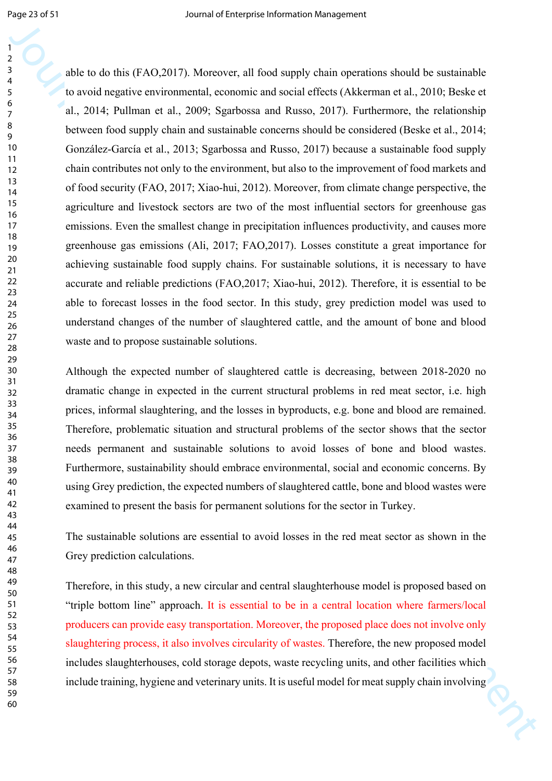Journal of the task distribution (AO.2013). Moreover, all first samply thein operations should be solven<br>and the second magnitude constraint, constraint and similar first e (Akkacs at 2000, Bandoc at a 2000, Bandoc at a 2 able to do this (FAO,2017). Moreover, all food supply chain operations should be sustainable to avoid negative environmental, economic and social effects (Akkerman et al., 2010; Beske et al., 2014; Pullman et al., 2009; Sgarbossa and Russo, 2017). Furthermore, the relationship between food supply chain and sustainable concerns should be considered (Beske et al., 2014; González-García et al., 2013; Sgarbossa and Russo, 2017) because a sustainable food supply chain contributes not only to the environment, but also to the improvement of food markets and of food security (FAO, 2017; Xiao-hui, 2012). Moreover, from climate change perspective, the agriculture and livestock sectors are two of the most influential sectors for greenhouse gas emissions. Even the smallest change in precipitation influences productivity, and causes more greenhouse gas emissions (Ali, 2017; FAO,2017). Losses constitute a great importance for achieving sustainable food supply chains. For sustainable solutions, it is necessary to have accurate and reliable predictions (FAO,2017; Xiao-hui, 2012). Therefore, it is essential to be able to forecast losses in the food sector. In this study, grey prediction model was used to understand changes of the number of slaughtered cattle, and the amount of bone and blood waste and to propose sustainable solutions.

Although the expected number of slaughtered cattle is decreasing, between 2018-2020 no dramatic change in expected in the current structural problems in red meat sector, i.e. high prices, informal slaughtering, and the losses in byproducts, e.g. bone and blood are remained. Therefore, problematic situation and structural problems of the sector shows that the sector needs permanent and sustainable solutions to avoid losses of bone and blood wastes. Furthermore, sustainability should embrace environmental, social and economic concerns. By using Grey prediction, the expected numbers of slaughtered cattle, bone and blood wastes were examined to present the basis for permanent solutions for the sector in Turkey.

The sustainable solutions are essential to avoid losses in the red meat sector as shown in the Grey prediction calculations.

Therefore, in this study, a new circular and central slaughterhouse model is proposed based on "triple bottom line" approach. It is essential to be in a central location where farmers/local producers can provide easy transportation. Moreover, the proposed place does not involve only slaughtering process, it also involves circularity of wastes. Therefore, the new proposed model includes slaughterhouses, cold storage depots, waste recycling units, and other facilities which include training, hygiene and veterinary units. It is useful model for meat supply chain involving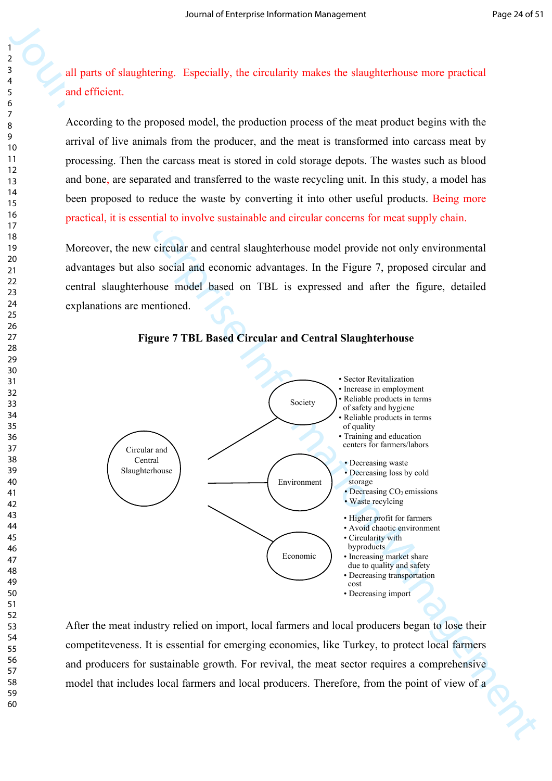all parts of slaughtering. Especially, the circularity makes the slaughterhouse more practical and efficient.

According to the proposed model, the production process of the meat product begins with the arrival of live animals from the producer, and the meat is transformed into carcass meat by processing. Then the carcass meat is stored in cold storage depots. The wastes such as blood and bone, are separated and transferred to the waste recycling unit. In this study, a model has been proposed to reduce the waste by converting it into other useful products. Being more practical, it is essential to involve sustainable and circular concerns for meat supply chain.

Moreover, the new circular and central slaughterhouse model provide not only environmental advantages but also social and economic advantages. In the Figure 7, proposed circular and central slaughterhouse model based on TBL is expressed and after the figure, detailed explanations are mentioned.





After the meat industry relied on import, local farmers and local producers began to lose their competiteveness. It is essential for emerging economies, like Turkey, to protect local farmers and producers for sustainable growth. For revival, the meat sector requires a comprehensive model that includes local farmers and local producers. Therefore, from the point of view of a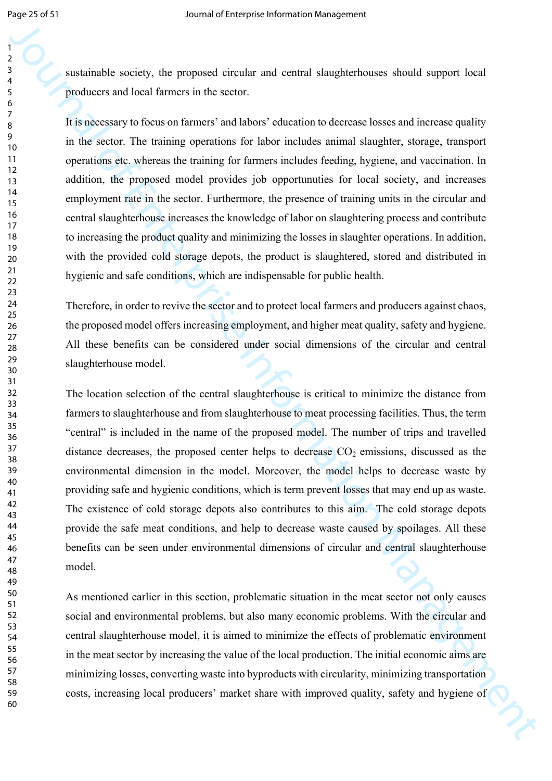sustainable society, the proposed circular and central slaughterhouses should support local producers and local farmers in the sector.

It is necessary to focus on farmers' and labors' education to decrease losses and increase quality in the sector. The training operations for labor includes animal slaughter, storage, transport operations etc. whereas the training for farmers includes feeding, hygiene, and vaccination. In addition, the proposed model provides job opportunuties for local society, and increases employment rate in the sector. Furthermore, the presence of training units in the circular and central slaughterhouse increases the knowledge of labor on slaughtering process and contribute to increasing the product quality and minimizing the losses in slaughter operations. In addition, with the provided cold storage depots, the product is slaughtered, stored and distributed in hygienic and safe conditions, which are indispensable for public health.

Therefore, in order to revive the sector and to protect local farmers and producers against chaos, the proposed model offers increasing employment, and higher meat quality, safety and hygiene. All these benefits can be considered under social dimensions of the circular and central slaughterhouse model.

**Journal of the state of the state of the state of the state of the state of the state of the state of the state of the state of the state of the state of the state of the state of the state of the state of the state of t** The location selection of the central slaughterhouse is critical to minimize the distance from farmers to slaughterhouse and from slaughterhouse to meat processing facilities. Thus, the term "central" is included in the name of the proposed model. The number of trips and travelled distance decreases, the proposed center helps to decrease  $CO<sub>2</sub>$  emissions, discussed as the environmental dimension in the model. Moreover, the model helps to decrease waste by providing safe and hygienic conditions, which is term prevent losses that may end up as waste. The existence of cold storage depots also contributes to this aim. The cold storage depots provide the safe meat conditions, and help to decrease waste caused by spoilages. All these benefits can be seen under environmental dimensions of circular and central slaughterhouse model.

As mentioned earlier in this section, problematic situation in the meat sector not only causes social and environmental problems, but also many economic problems. With the circular and central slaughterhouse model, it is aimed to minimize the effects of problematic environment in the meat sector by increasing the value of the local production. The initial economic aims are minimizing losses, converting waste into byproducts with circularity, minimizing transportation costs, increasing local producers' market share with improved quality, safety and hygiene of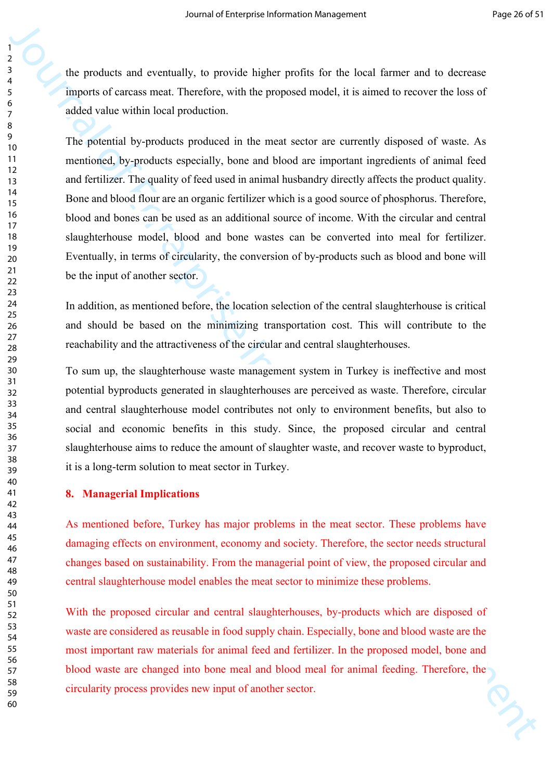the products and eventually, to provide higher profits for the local farmer and to decrease imports of carcass meat. Therefore, with the proposed model, it is aimed to recover the loss of added value within local production.

Journal of the measurementally, is provide higher profits for the last farmer and to decrease the proposition of Santa farmer and to decrease the last of the measuremental of the measuremental of the measuremental of the The potential by-products produced in the meat sector are currently disposed of waste. As mentioned, by-products especially, bone and blood are important ingredients of animal feed and fertilizer. The quality of feed used in animal husbandry directly affects the product quality. Bone and blood flour are an organic fertilizer which is a good source of phosphorus. Therefore, blood and bones can be used as an additional source of income. With the circular and central slaughterhouse model, blood and bone wastes can be converted into meal for fertilizer. Eventually, in terms of circularity, the conversion of by-products such as blood and bone will be the input of another sector.

In addition, as mentioned before, the location selection of the central slaughterhouse is critical and should be based on the minimizing transportation cost. This will contribute to the reachability and the attractiveness of the circular and central slaughterhouses.

To sum up, the slaughterhouse waste management system in Turkey is ineffective and most potential byproducts generated in slaughterhouses are perceived as waste. Therefore, circular and central slaughterhouse model contributes not only to environment benefits, but also to social and economic benefits in this study. Since, the proposed circular and central slaughterhouse aims to reduce the amount of slaughter waste, and recover waste to byproduct, it is a long-term solution to meat sector in Turkey.

#### **8. Managerial Implications**

As mentioned before, Turkey has major problems in the meat sector. These problems have damaging effects on environment, economy and society. Therefore, the sector needs structural changes based on sustainability. From the managerial point of view, the proposed circular and central slaughterhouse model enables the meat sector to minimize these problems.

With the proposed circular and central slaughterhouses, by-products which are disposed of waste are considered as reusable in food supply chain. Especially, bone and blood waste are the most important raw materials for animal feed and fertilizer. In the proposed model, bone and blood waste are changed into bone meal and blood meal for animal feeding. Therefore, the circularity process provides new input of another sector.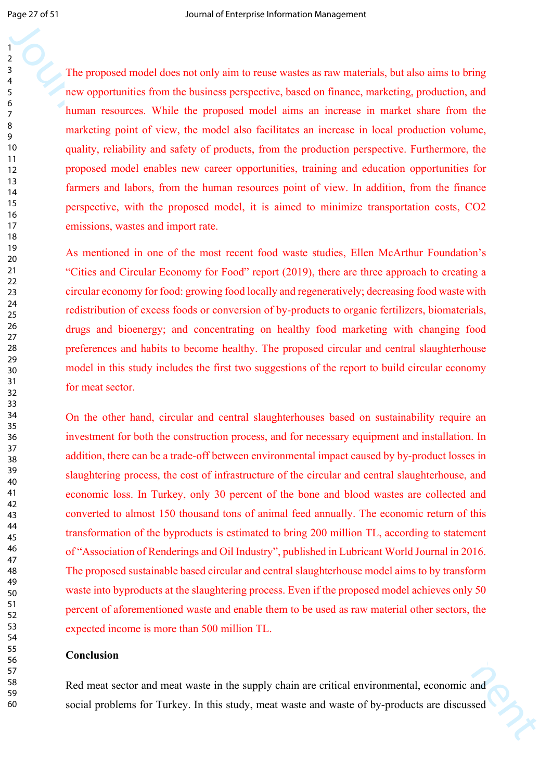The proposed model does not only aim to reuse wastes as raw materials, but also aims to bring new opportunities from the business perspective, based on finance, marketing, production, and human resources. While the proposed model aims an increase in market share from the marketing point of view, the model also facilitates an increase in local production volume, quality, reliability and safety of products, from the production perspective. Furthermore, the proposed model enables new career opportunities, training and education opportunities for farmers and labors, from the human resources point of view. In addition, from the finance perspective, with the proposed model, it is aimed to minimize transportation costs, CO2 emissions, wastes and import rate.

As mentioned in one of the most recent food waste studies, Ellen McArthur Foundation's "Cities and Circular Economy for Food" report (2019), there are three approach to creating a circular economy for food: growing food locally and regeneratively; decreasing food waste with redistribution of excess foods or conversion of by-products to organic fertilizers, biomaterials, drugs and bioenergy; and concentrating on healthy food marketing with changing food preferences and habits to become healthy. The proposed circular and central slaughterhouse model in this study includes the first two suggestions of the report to build circular economy for meat sector.

The proposal model is there are not be a state of the manner of the system of the system of the system of the system of the system of the system of the system of the system of the system of the system of the system of the On the other hand, circular and central slaughterhouses based on sustainability require an investment for both the construction process, and for necessary equipment and installation. In addition, there can be a trade-off between environmental impact caused by by-product losses in slaughtering process, the cost of infrastructure of the circular and central slaughterhouse, and economic loss. In Turkey, only 30 percent of the bone and blood wastes are collected and converted to almost 150 thousand tons of animal feed annually. The economic return of this transformation of the byproducts is estimated to bring 200 million TL, according to statement of "Association of Renderings and Oil Industry", published in Lubricant World Journal in 2016. The proposed sustainable based circular and central slaughterhouse model aims to by transform waste into byproducts at the slaughtering process. Even if the proposed model achieves only 50 percent of aforementioned waste and enable them to be used as raw material other sectors, the expected income is more than 500 million TL.

## **Conclusion**

Red meat sector and meat waste in the supply chain are critical environmental, economic and social problems for Turkey. In this study, meat waste and waste of by-products are discussed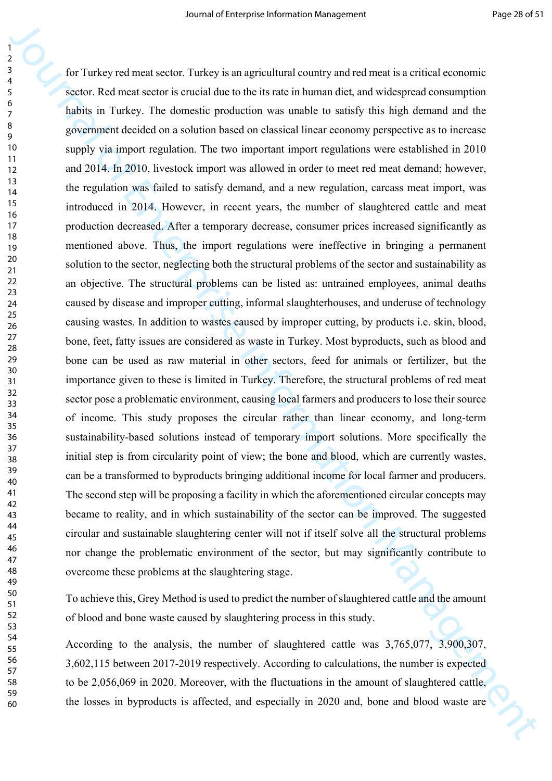Journal of the synchronic state is the synchronic state in the higher shall decomposite state in the synchronic state in the synchronic state in the synchronic state in the synchronic state in the synchronic state in the for Turkey red meat sector. Turkey is an agricultural country and red meat is a critical economic sector. Red meat sector is crucial due to the its rate in human diet, and widespread consumption habits in Turkey. The domestic production was unable to satisfy this high demand and the government decided on a solution based on classical linear economy perspective as to increase supply via import regulation. The two important import regulations were established in 2010 and 2014. In 2010, livestock import was allowed in order to meet red meat demand; however, the regulation was failed to satisfy demand, and a new regulation, carcass meat import, was introduced in 2014. However, in recent years, the number of slaughtered cattle and meat production decreased. After a temporary decrease, consumer prices increased significantly as mentioned above. Thus, the import regulations were ineffective in bringing a permanent solution to the sector, neglecting both the structural problems of the sector and sustainability as an objective. The structural problems can be listed as: untrained employees, animal deaths caused by disease and improper cutting, informal slaughterhouses, and underuse of technology causing wastes. In addition to wastes caused by improper cutting, by products i.e. skin, blood, bone, feet, fatty issues are considered as waste in Turkey. Most byproducts, such as blood and bone can be used as raw material in other sectors, feed for animals or fertilizer, but the importance given to these is limited in Turkey. Therefore, the structural problems of red meat sector pose a problematic environment, causing local farmers and producers to lose their source of income. This study proposes the circular rather than linear economy, and long-term sustainability-based solutions instead of temporary import solutions. More specifically the initial step is from circularity point of view; the bone and blood, which are currently wastes, can be a transformed to byproducts bringing additional income for local farmer and producers. The second step will be proposing a facility in which the aforementioned circular concepts may became to reality, and in which sustainability of the sector can be improved. The suggested circular and sustainable slaughtering center will not if itself solve all the structural problems nor change the problematic environment of the sector, but may significantly contribute to overcome these problems at the slaughtering stage.

To achieve this, Grey Method is used to predict the number of slaughtered cattle and the amount of blood and bone waste caused by slaughtering process in this study.

According to the analysis, the number of slaughtered cattle was 3,765,077, 3,900,307, 3,602,115 between 2017-2019 respectively. According to calculations, the number is expected to be 2,056,069 in 2020. Moreover, with the fluctuations in the amount of slaughtered cattle, the losses in byproducts is affected, and especially in 2020 and, bone and blood waste are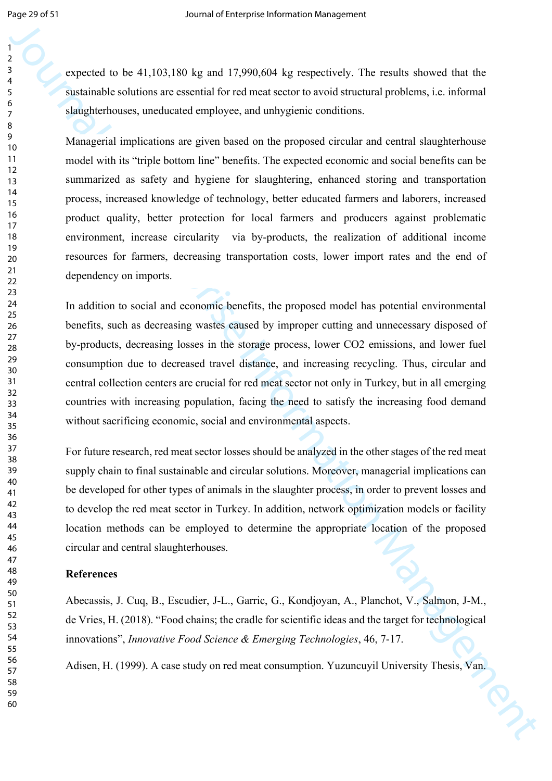expected to be 41,103,180 kg and 17,990,604 kg respectively. The results showed that the sustainable solutions are essential for red meat sector to avoid structural problems, i.e. informal slaughterhouses, uneducated employee, and unhygienic conditions.

**Experient to be 41,100,180 kg and 17.990,600 kg re-peatively. The results showed that the system of the system and the system and the system and the system and the system and the system and the system and the system and** Managerial implications are given based on the proposed circular and central slaughterhouse model with its "triple bottom line" benefits. The expected economic and social benefits can be summarized as safety and hygiene for slaughtering, enhanced storing and transportation process, increased knowledge of technology, better educated farmers and laborers, increased product quality, better protection for local farmers and producers against problematic environment, increase circularity via by-products, the realization of additional income resources for farmers, decreasing transportation costs, lower import rates and the end of dependency on imports.

In addition to social and economic benefits, the proposed model has potential environmental benefits, such as decreasing wastes caused by improper cutting and unnecessary disposed of by-products, decreasing losses in the storage process, lower CO2 emissions, and lower fuel consumption due to decreased travel distance, and increasing recycling. Thus, circular and central collection centers are crucial for red meat sector not only in Turkey, but in all emerging countries with increasing population, facing the need to satisfy the increasing food demand without sacrificing economic, social and environmental aspects.

For future research, red meat sector losses should be analyzed in the other stages of the red meat supply chain to final sustainable and circular solutions. Moreover, managerial implications can be developed for other types of animals in the slaughter process, in order to prevent losses and to develop the red meat sector in Turkey. In addition, network optimization models or facility location methods can be employed to determine the appropriate location of the proposed circular and central slaughterhouses.

#### **References**

Abecassis, J. Cuq, B., Escudier, J-L., Garric, G., Kondjoyan, A., Planchot, V., Salmon, J-M., de Vries, H. (2018). "Food chains; the cradle for scientific ideas and the target for technological innovations", *Innovative Food Science & Emerging Technologies*, 46, 7-17.

Adisen, H. (1999). A case study on red meat consumption. Yuzuncuyil University Thesis, Van.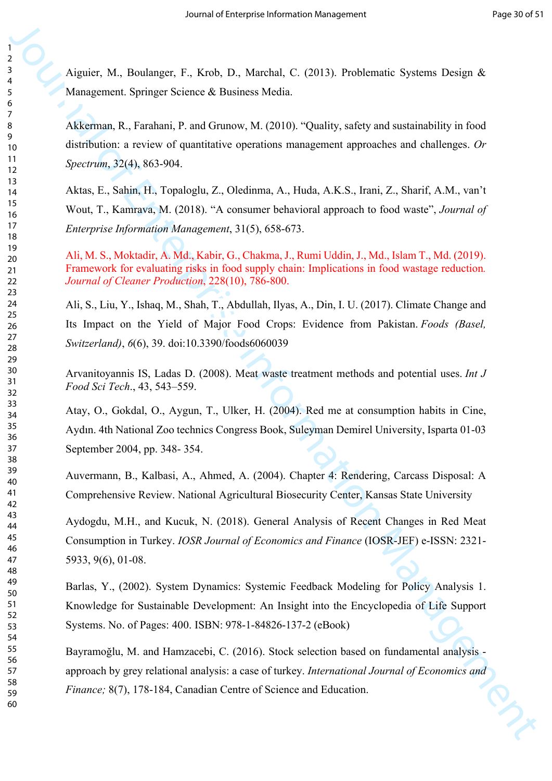Aiguier, M., Boulanger, F., Krob, D., Marchal, C. (2013). Problematic Systems Design & Management. Springer Science & Business Media.

Akkerman, R., Farahani, P. and Grunow, M. (2010). "Quality, safety and sustainability in food distribution: a review of quantitative operations management approaches and challenges. *Or Spectrum*, 32(4), 863-904.

Journal of Management Constrainers (EQUI), Problemmic Systems Design & Management Spinger Science & Business Media. (2013), Problemmic Systems Design & Management Spinger Science & Business Media. Constrainting in front Aktas, E., Sahin, H., Topaloglu, Z., Oledinma, A., Huda, A.K.S., Irani, Z., Sharif, A.M., van't Wout, T., Kamrava, M. (2018). "A consumer behavioral approach to food waste", *Journal of Enterprise Information Management*, 31(5), 658-673.

Ali, M. S., Moktadir, A. Md., Kabir, G., Chakma, J., Rumi Uddin, J., Md., Islam T., Md. (2019). Framework for evaluating risks in food supply chain: Implications in food wastage reduction*. Journal of Cleaner Production*, 228(10), 786-800.

Ali, S., Liu, Y., Ishaq, M., Shah, T., Abdullah, Ilyas, A., Din, I. U. (2017). Climate Change and Its Impact on the Yield of Major Food Crops: Evidence from Pakistan. *Foods (Basel, Switzerland)*, *6*(6), 39. doi:10.3390/foods6060039

Arvanitoyannis IS, Ladas D. (2008). Meat waste treatment methods and potential uses. *Int J Food Sci Tech*., 43, 543–559.

Atay, O., Gokdal, O., Aygun, T., Ulker, H. (2004). Red me at consumption habits in Cine, Aydın. 4th National Zoo technics Congress Book, Suleyman Demirel University, Isparta 01-03 September 2004, pp. 348- 354.

Auvermann, B., Kalbasi, A., Ahmed, A. (2004). Chapter 4: Rendering, Carcass Disposal: A Comprehensive Review. National Agricultural Biosecurity Center, Kansas State University

Aydogdu, M.H., and Kucuk, N. (2018). General Analysis of Recent Changes in Red Meat Consumption in Turkey. *IOSR Journal of Economics and Finance* (IOSR-JEF) e-ISSN: 2321- 5933, 9(6), 01-08.

Barlas, Y., (2002). System Dynamics: Systemic Feedback Modeling for Policy Analysis 1. Knowledge for Sustainable Development: An Insight into the Encyclopedia of Life Support Systems. No. of Pages: 400. ISBN: 978-1-84826-137-2 (eBook)

Bayramoğlu, M. and Hamzacebi, C. (2016). Stock selection based on fundamental analysis approach by grey relational analysis: a case of turkey. *International Journal of Economics and Finance;* 8(7), 178-184, Canadian Centre of Science and Education.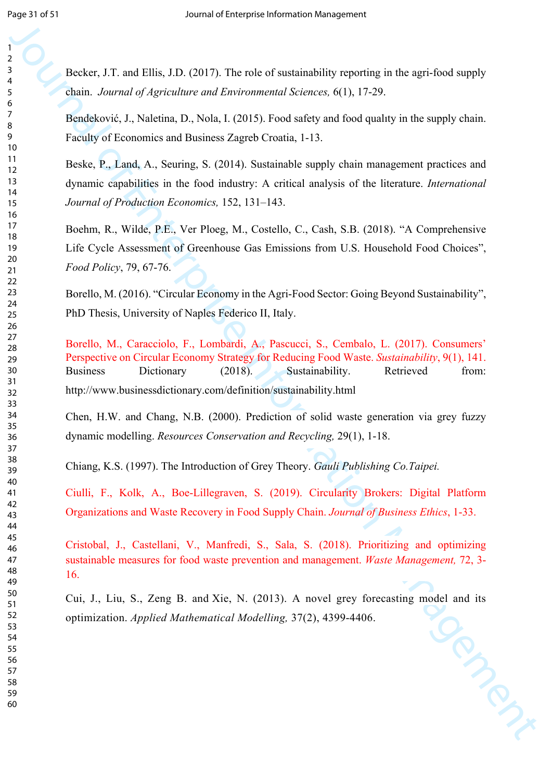Becker, J.T. and Ellis, J.D. (2017). The role of sustainability reporting in the agri-food supply chain. *Journal of Agriculture and Environmental Sciences,* 6(1), 17-29.

Bendeković, J., Naletina, D., Nola, I. (2015). Food safety and food qualıty in the supply chain. Faculty of Economics and Business Zagreb Croatia, 1-13.

Beske, P., Land, A., Seuring, S. (2014). Sustainable supply chain management practices and dynamic capabilities in the food industry: A critical analysis of the literature. *International Journal of Production Economics,* 152, 131–143.

Boehm, R., Wilde, P.E., Ver Ploeg, M., Costello, C., Cash, S.B. (2018). "A Comprehensive Life Cycle Assessment of Greenhouse Gas Emissions from U.S. Household Food Choices", *Food Policy*, 79, 67-76.

Borello, M. (2016). "Circular Economy in the Agri-Food Sector: Going Beyond Sustainability", PhD Thesis, University of Naples Federico II, Italy.

Journal of the USUs (10 minimization of the Southern Contents of the sequence of Enterprise Information Management Sciences 6(1), 12-29.<br>
The Enterprise Information Management Sciences 6(1), 12-29.<br>
The Enterprise Informa Borello, M., Caracciolo, F., Lombardi, A., Pascucci, S., Cembalo, L. (2017). Consumers' Perspective on Circular Economy Strategy for Reducing Food Waste. *Sustainability*, 9(1), 141. Business Dictionary (2018). Sustainability. Retrieved from: http://www.businessdictionary.com/definition/sustainability.html

Chen, H.W. and Chang, N.B. (2000). Prediction of solid waste generation via grey fuzzy dynamic modelling. *Resources Conservation and Recycling,* 29(1), 1-18.

Chiang, K.S. (1997). The Introduction of Grey Theory. *Gauli Publishing Co.Taipei.*

Ciulli, F., Kolk, A., Boe-Lillegraven, S. (2019). Circularity Brokers: Digital Platform Organizations and Waste Recovery in Food Supply Chain. *Journal of Business Ethics*, 1-33.

Cristobal, J., Castellani, V., Manfredi, S., Sala, S. (2018). Prioritizing and optimizing sustainable measures for food waste prevention and management. *Waste Management,* 72, 3- 16.

Cui, J., Liu, S., Zeng B. and Xie, N. (2013). A novel grey forecasting model and its<br>optimization. Applied Mathematical Modelling, 37(2), 4399-4406. optimization. *Applied Mathematical Modelling,* 37(2), 4399-4406.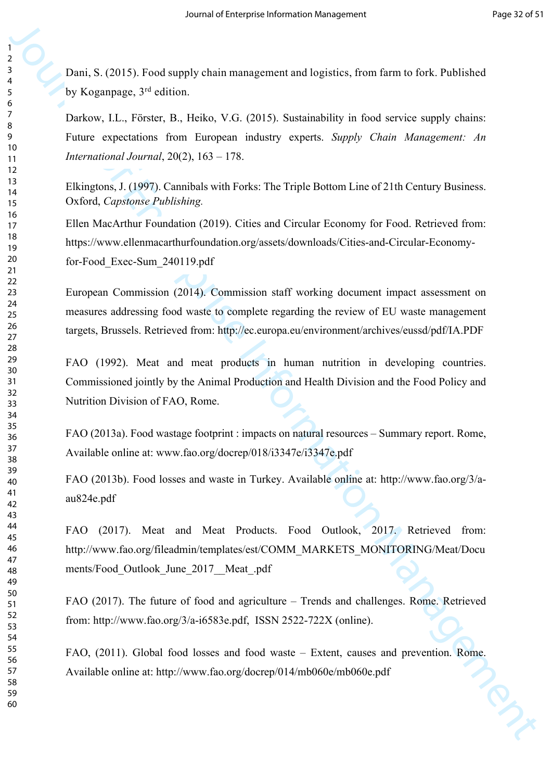Dani, S. (2015). Food supply chain management and logistics, from farm to fork. Published by Koganpage, 3rd edition.

Darkow, I.L., Förster, B., Heiko, V.G. (2015). Sustainability in food service supply chains: Future expectations from European industry experts. *Supply Chain Management: An International Journal*, 20(2), 163 – 178.

Elkingtons, J. (1997). Cannibals with Forks: The Triple Bottom Line of 21th Century Business. Oxford, *Capstonse Publishing.*

Ellen MacArthur Foundation (2019). Cities and Circular Economy for Food. Retrieved from: https://www.ellenmacarthurfoundation.org/assets/downloads/Cities-and-Circular-Economyfor-Food\_Exec-Sum\_240119.pdf

Journal of Equation Anti-<br>
Journal of Equation 1978). Next sample their management and logatics, from farm is fort. Pableled<br>
by Kognetiges, <sup>24</sup> edition.<br>
There expected the R<sub>2</sub> Here, V.G. (2015). Such<br>
Function [M](http://www.fao.org/fileadmin/templates/est/COMM_MARKETS_MONITORING/Meat/Documents/Food_Outlook_June_2017__Meat_.pdf)anagem European Commission (2014). Commission staff working document impact assessment on measures addressing food waste to complete regarding the review of EU waste management targets, Brussels. Retrieved from: http://ec.europa.eu/environment/archives/eussd/pdf/IA.PDF

FAO (1992). Meat and meat products in human nutrition in developing countries. Commissioned jointly by the Animal Production and Health Division and the Food Policy and Nutrition Division of FAO, Rome.

FAO (2013a). Food wastage footprint : impacts on natural resources – Summary report. Rome, Available online at: www.fao.org/docrep/018/i3347e/i3347e.pdf

FAO (2013b). Food losses and waste in Turkey. Available online at: http://www.fao.org/3/aau824e.pdf

FAO (2017). Meat and Meat Products. Food Outlook, 2017. Retrieved from: http://www.fao.org/fileadmin/templates/est/COMM\_MARKETS\_MONITORING/Meat/Docu ments/Food\_Outlook\_June\_2017\_\_Meat\_.pdf

FAO (2017). The future of food and agriculture – Trends and challenges. Rome. Retrieved from: http://www.fao.org/3/a-i6583e.pdf, ISSN 2522-722X (online).

FAO, (2011). Global food losses and food waste – Extent, causes and prevention. Rome. Available online at: http://www.fao.org/docrep/014/mb060e/mb060e.pdf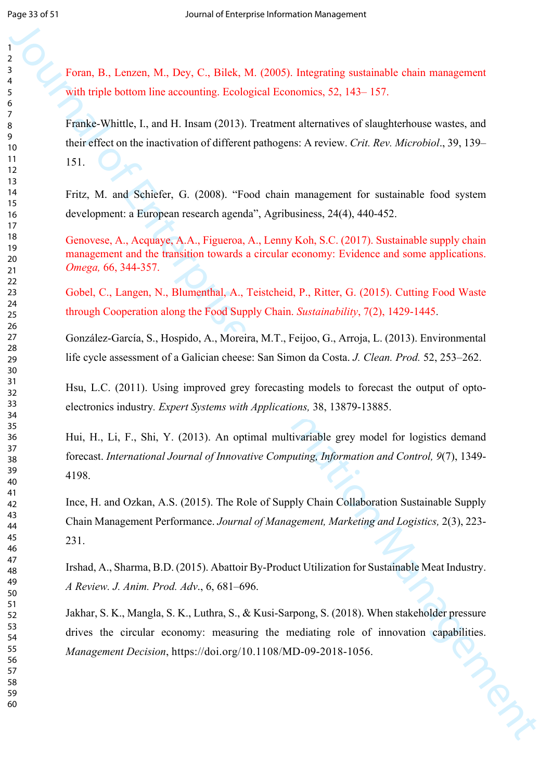Foran, B., Lenzen, M., Dey, C., Bilek, M. (2005). Integrating sustainable chain management with triple bottom line accounting. Ecological Economics, 52, 143–157.

Journal of Entertain Management Consistential Consistential Coloring Consistential Consistential Consistential<br>
origin between the accounting bookspiel Economies, 52, 143–157,<br>
The Sams Manate Consistential Consistential Franke-Whittle, I., and H. Insam (2013). Treatment alternatives of slaughterhouse wastes, and their effect on the inactivation of different pathogens: A review. *Crit. Rev. Microbiol*., 39, 139– 151.

Fritz, M. and Schiefer, G. (2008). "Food chain management for sustainable food system development: a European research agenda", Agribusiness, 24(4), 440-452.

Genovese, A., Acquaye, A.A., Figueroa, A., Lenny Koh, S.C. (2017). Sustainable supply chain management and the transition towards a circular economy: Evidence and some applications. *Omega,* 66, 344-357.

Gobel, C., Langen, N., Blumenthal, A., Teistcheid, P., Ritter, G. (2015). Cutting Food Waste through Cooperation along the Food Supply Chain. *Sustainability*, 7(2), 1429-1445.

González-García, S., Hospido, A., Moreira, M.T., Feijoo, G., Arroja, L. (2013). Environmental life cycle assessment of a Galician cheese: San Simon da Costa. *J. Clean. Prod.* 52, 253–262.

Hsu, L.C. (2011). Using improved grey forecasting models to forecast the output of optoelectronics industry*. Expert Systems with Applications,* 38, 13879-13885.

Hui, H., Li, F., Shi, Y. (2013). An optimal multivariable grey model for logistics demand forecast. *International Journal of Innovative Computing, Information and Control, 9*(7), 1349- 4198.

Ince, H. and Ozkan, A.S. (2015). The Role of Supply Chain Collaboration Sustainable Supply Chain Management Performance. *Journal of Management, Marketing and Logistics,* 2(3), 223- 231.

Irshad, A., Sharma, B.D. (2015). Abattoir By-Product Utilization for Sustainable Meat Industry. *A Review. J. Anim. Prod. Adv*., 6, 681–696.

Jakhar, S. K., Mangla, S. K., Luthra, S., & Kusi-Sarpong, S. (2018). When stakeholder pressure drives the circular economy: measuring the mediating role of innovation capabilities. *Management Decision*, https://doi.org/10.1108/MD-09-2018-1056.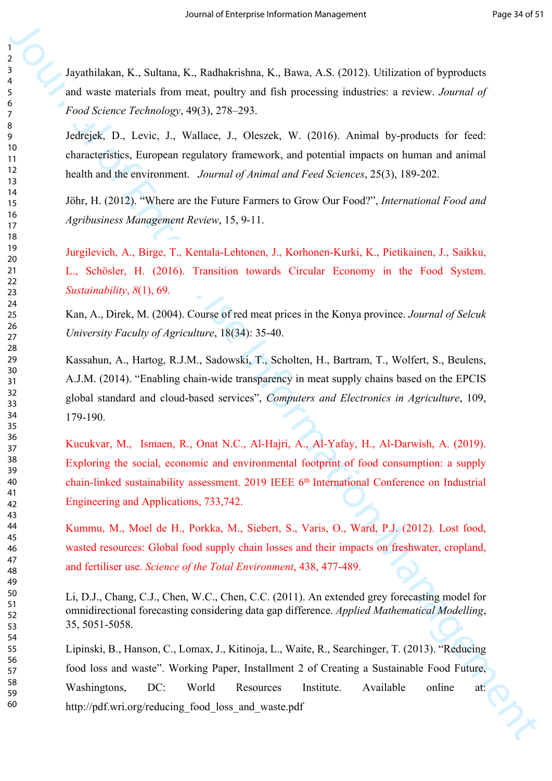Jayathilakan, K., Sultana, K., Radhakrishna, K., Bawa, A.S. (2012). Utilization of byproducts and waste materials from meat, poultry and fish processing industries: a review. *Journal of Food Science Technology*, 49(3), 278–293.

Jedrejek, D., Levic, J., Wallace, J., Oleszek, W. (2016). Animal by-products for feed: characteristics, European regulatory framework, and potential impacts on human and animal health and the environment. *Journal of Animal and Feed Sciences*, 25(3), 189-202.

Jöhr, H. (2012). "Where are the Future Farmers to Grow Our Food?", *International Food and Agribusiness Management Review*, 15, 9-11.

Jurgilevich, A., Birge, T., Kentala-Lehtonen, J., Korhonen-Kurki, K., Pietikainen, J., Saikku, L., Schösler, H. (2016). Transition towards Circular Economy in the Food System. *Sustainability*, *8*(1), 69.

Kan, A., Direk, M. (2004). Course of red meat prices in the Konya province. *Journal of Selcuk University Faculty of Agriculture*, 18(34): 35-40.

Kassahun, A., Hartog, R.J.M., Sadowski, T., Scholten, H., Bartram, T., Wolfert, S., Beulens, A.J.M. (2014). "Enabling chain-wide transparency in meat supply chains based on the EPCIS global standard and cloud-based services", *Computers and Electronics in Agriculture*, 109, 179-190.

Kucukvar, M., Ismaen, R., Onat N.C., Al-Hajri, A., Al-Yafay, H., Al-Darwish, A. (2019). Exploring the social, economic and environmental footprint of food consumption: a supply chain-linked sustainability assessment. 2019 IEEE 6<sup>th</sup> International Conference on Industrial Engineering and Applications, 733,742.

Kummu, M., Moel de H., Porkka, M., Siebert, S., Varis, O., Ward, P.J. (2012). Lost food, wasted resources: Global food supply chain losses and their impacts on freshwater, cropland, and fertiliser use. *Science of the Total Environment*, 438, 477-489.

Li, D.J., Chang, C.J., Chen, W.C., Chen, C.C. (2011). An extended grey forecasting model for omnidirectional forecasting considering data gap difference. *Applied Mathematical Modelling*, 35, 5051-5058.

**Journal of Enterprise Internal of Enterprise Internal of Enterprise Internal of Equation of Equation And Securities Interior,** *Journal of* **Enterprise Information Management interior,** *Journal of* **Enterprise Inc.** *Normal* Lipinski, B., Hanson, C., Lomax, J., Kitinoja, L., Waite, R., Searchinger, T. (2013). "Reducing food loss and waste". Working Paper, Installment 2 of Creating a Sustainable Food Future, Washingtons, DC: World Resources Institute. Available online at: http://pdf.wri.org/reducing\_food\_loss\_and\_waste.pdf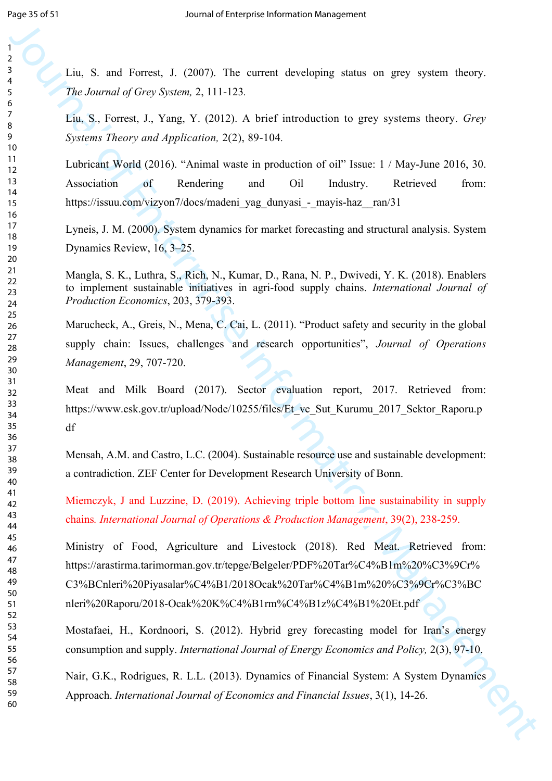Liu, S. and Forrest, J. (2007). The current developing status on grey system theory. *The Journal of Grey System,* 2, 111-123*.*

Liu, S., Forrest, J., Yang, Y. (2012). A brief introduction to grey systems theory. *Grey Systems Theory and Application,* 2(2), 89-104*.*

Lubricant World (2016). "Animal waste in production of oil" Issue: 1 / May-June 2016, 30. Association of Rendering and Oil Industry. Retrieved from: https://issuu.com/vizyon7/docs/madeni\_yag\_dunyasi\_-\_mayis-haz\_\_ran/31

Lyneis, J. M. (2000). System dynamics for market forecasting and structural analysis. System Dynamics Review, 16, 3–25.

Mangla, S. K., Luthra, S., Rich, N., Kumar, D., Rana, N. P., Dwivedi, Y. K. (2018). Enablers to implement sustainable initiatives in agri-food supply chains. *International Journal of Production Economics*, 203, 379-393.

Marucheck, A., Greis, N., Mena, C. Cai, L. (2011). "Product safety and security in the global supply chain: Issues, challenges and research opportunities", *Journal of Operations Management*, 29, 707-720.

Meat and Milk Board (2017). Sector evaluation report, 2017. Retrieved from: https://www.esk.gov.tr/upload/Node/10255/files/Et\_ve\_Sut\_Kurumu\_2017\_Sektor\_Raporu.p df

Mensah, A.M. and Castro, L.C. (2004). Sustainable resource use and sustainable development: a contradiction. ZEF Center for Development Research University of Bonn.

Miemczyk, J and Luzzine, D. (2019). Achieving triple bottom line sustainability in supply chains*. International Journal of Operations & Production Management*, 39(2), 238-259.

3<br>
Jour S. and F[or](https://www.esk.gov.tr/upload/Node/10255/files/Et_ve_Sut_Kurumu_2017_Sektor_Raporu.pdf)est, J. (2007). The cartoot developi[n](https://www.emerald.com/insight/publication/issn/0144-3577)g status on goy system theory.<br>
The Journal of Grey System, 2. (11113). A brief interduction to grey systems theory. Grey<br>
17. S. Neuronal of Grey Systems, 2. (2012) Ministry of Food, Agriculture and Livestock (2018). Red Meat. Retrieved from: https://arastirma.tarimorman.gov.tr/tepge/Belgeler/PDF%20Tar%C4%B1m%20%C3%9Cr% C3%BCnleri%20Piyasalar%C4%B1/2018Ocak%20Tar%C4%B1m%20%C3%9Cr%C3%BC nleri%20Raporu/2018-Ocak%20K%C4%B1rm%C4%B1z%C4%B1%20Et.pdf

Mostafaei, H., Kordnoori, S. (2012). Hybrid grey forecasting model for Iran's energy consumption and supply. *International Journal of Energy Economics and Policy,* 2(3), 97-10.

Nair, G.K., Rodrigues, R. L.L. (2013). Dynamics of Financial System: A System Dynamics Approach. *International Journal of Economics and Financial Issues*, 3(1), 14-26.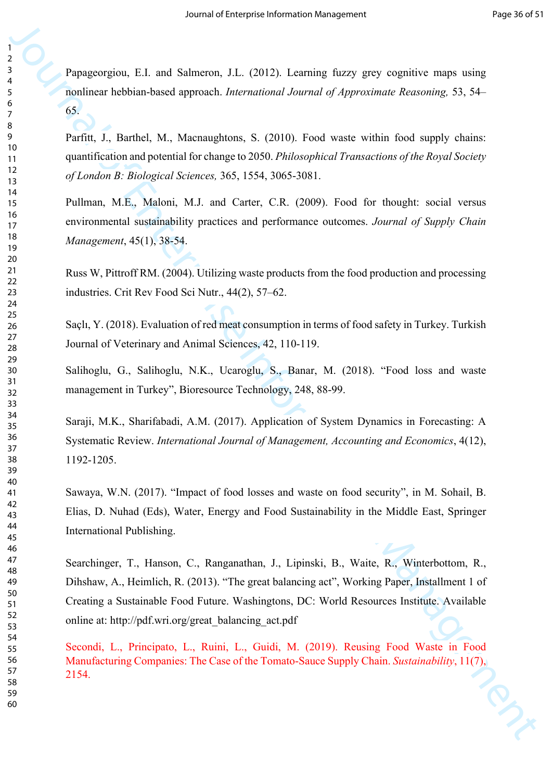Papageorgiou, E.I. and Salmeron, J.L. (2012). Learning fuzzy grey cognitive maps using nonlinear hebbian-based approach. *International Journal of Approximate Reasoning,* 53, 54– 65.

Parfitt, J., Barthel, M., Macnaughtons, S. (2010). Food waste within food supply chains: quantification and potential for change to 2050. *Philosophical Transactions of the Royal Society of London B: Biological Sciences,* 365, 1554, 3065-3081.

Pullman, M.E., Maloni, M.J. and Carter, C.R. (2009). Food for thought: social versus environmental sustainability practices and performance outcomes. *Journal of Supply Chain Management*, 45(1), 38-54.

Russ W, Pittroff RM. (2004). Utilizing waste products from the food production and processing industries. Crit Rev Food Sci Nutr., 44(2), 57–62.

Saçlı, Y. (2018). Evaluation of red meat consumption in terms of food safety in Turkey. Turkish Journal of Veterinary and Animal Sciences, 42, 110-119.

Salihoglu, G., Salihoglu, N.K., Ucaroglu, S., Banar, M. (2018). "Food loss and waste management in Turkey", Bioresource Technology, 248, 88-99.

Saraji, M.K., Sharifabadi, A.M. (2017). Application of System Dynamics in Forecasting: A Systematic Review. *International Journal of Management, Accounting and Economics*, 4(12), 1192-1205.

Sawaya, W.N. (2017). "Impact of food losses and waste on food security", in M. Sohail, B. Elias, D. Nuhad (Eds), Water, Energy and Food Sustainability in the Middle East, Springer International Publishing.

**Purpage reprints 1.1.** and Submeron, 11. (2012) 1 stanning fazzy grey cognitives maps using<br>
Scaling Individual electromatic dispersable *Assemational Journal of Approximation Contomics, S.154*<br>
Scaling Control and princ Searchinger, T., Hanson, C., Ranganathan, J., Lipinski, B., Waite, R., Winterbottom, R., Dihshaw, A., Heimlich, R. (2013). "The great balancing act", Working Paper, Installment 1 of Creating a Sustainable Food Future. Washingtons, DC: World Resources Institute. Available online at: http://pdf.wri.org/great\_balancing\_act.pdf

Secondi, L., Principato, L., Ruini, L., Guidi, M. (2019). Reusing Food Waste in Food Manufacturing Companies: The Case of the Tomato-Sauce Supply Chain. *Sustainability*, 11(7), 2154.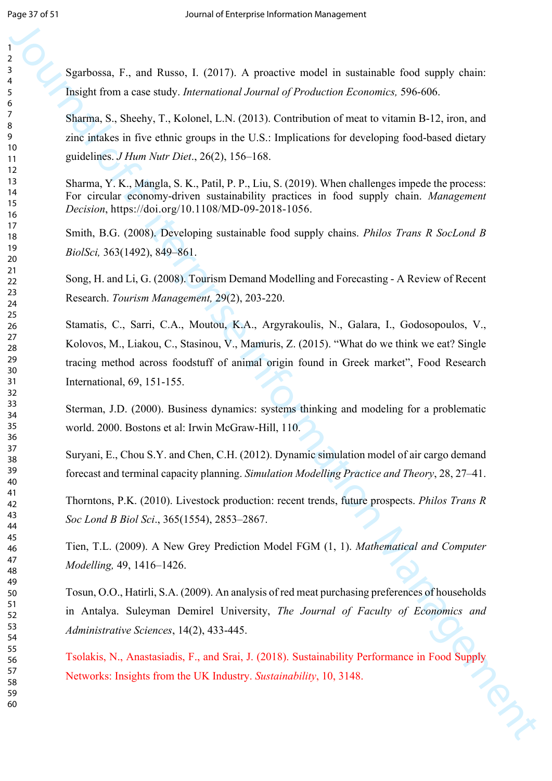Sgarbossa, F., and Russo, I. (2017). A proactive model in sustainable food supply chain: Insight from a case study. *International Journal of Production Economics,* 596-606.

Sharma, S., Sheehy, T., Kolonel, L.N. (2013). Contribution of meat to vitamin B-12, iron, and zinc intakes in five ethnic groups in the U.S.: Implications for developing food-based dietary guidelines. *J Hum Nutr Diet*., 26(2), 156–168.

Sharma, Y. K., Mangla, S. K., Patil, P. P., Liu, S. (2019). When challenges impede the process: For circular economy-driven sustainability practices in food supply chain. *Management Decision*, https://doi.org/10.1108/MD-09-2018-1056.

Smith, B.G. (2008). Developing sustainable food supply chains. *Philos Trans R SocLond B BiolSci,* 363(1492), 849–861.

Song, H. and Li, G. (2008). Tourism Demand Modelling and Forecasting - A Review of Recent Research. *Tourism Management,* 29(2), 203-220.

Spartnessa, F., and Rasses, J. (2017). A proactive muskl in suctionable field squight clour inhight from a case tasky. *Letterscheim Library* (Frankrike [En](https://doi.org/10.1108/MD-09-2018-1056)ter[pri](https://www.researchgate.net/journal/0261-5177_Tourism_Management)se) and S. Washever, K. Nobelette, E. R. (2015). Controlling Stamatis, C., Sarri, C.A., Moutou, K.A., Argyrakoulis, N., Galara, I., Godosopoulos, V., Kolovos, M., Liakou, C., Stasinou, V., Mamuris, Z. (2015). "What do we think we eat? Single tracing method across foodstuff of animal origin found in Greek market", Food Research International, 69, 151-155.

Sterman, J.D. (2000). Business dynamics: systems thinking and modeling for a problematic world. 2000. Bostons et al: Irwin McGraw-Hill, 110.

Suryani, E., Chou S.Y. and Chen, C.H. (2012). Dynamic simulation model of air cargo demand forecast and terminal capacity planning. *Simulation Modelling Practice and Theory*, 28, 27–41.

Thorntons, P.K. (2010). Livestock production: recent trends, future prospects. *Philos Trans R Soc Lond B Biol Sci*., 365(1554), 2853–2867.

Tien, T.L. (2009). A New Grey Prediction Model FGM (1, 1). *Mathematical and Computer Modelling,* 49, 1416–1426.

Tosun, O.O., Hatirli, S.A. (2009). An analysis of red meat purchasing preferences of households in Antalya. Suleyman Demirel University, *The Journal of Faculty of Economics and Administrative Sciences*, 14(2), 433-445.

Tsolakis, N., Anastasiadis, F., and Srai, J. (2018). Sustainability Performance in Food Supply Networks: Insights from the UK Industry. *Sustainability*, 10, 3148.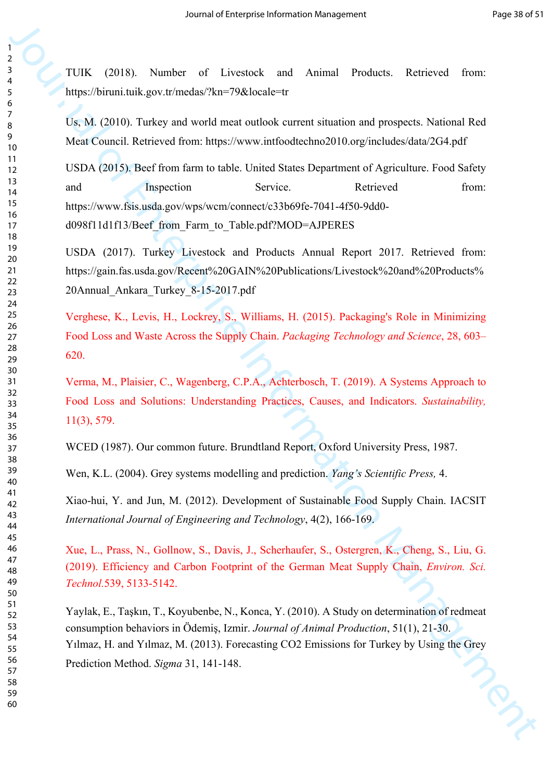TUIK (2018). Number of Livestock and Animal Products. Retrieved from: https://biruni.tuik.gov.tr/medas/?kn=79&locale=tr

Us, M. (2010). Turkey and world meat outlook current situation and prospects. National Red Meat Council. Retrieved from: https://www.intfoodtechno2010.org/includes/data/2G4.pdf

19<br>
19<br>
19<br>
19 (1992). Normaln and Triveshed, and Animal Products Retrieved from<br>
1993).<br>
1993 (2001). Tarkies and voted manualized [Ma](https://pubs.acs.org/doi/full/10.1021/acs.est.8b06079)nagement Aquivalence Information<br>
1993<br>
1993 (2001). Beef from functions and the shade USDA (2015). Beef from farm to table. United States Department of Agriculture. Food Safety and Inspection Service. Retrieved from: https://www.fsis.usda.gov/wps/wcm/connect/c33b69fe-7041-4f50-9dd0 d098f11d1f13/Beef\_from\_Farm\_to\_Table.pdf?MOD=AJPERES

USDA (2017). Turkey Livestock and Products Annual Report 2017. Retrieved from: https://gain.fas.usda.gov/Recent%20GAIN%20Publications/Livestock%20and%20Products% 20Annual\_Ankara\_Turkey\_8-15-2017.pdf

Verghese, K., Levis, H., Lockrey, S., Williams, H. (2015). Packaging's Role in Minimizing Food Loss and Waste Across the Supply Chain. *Packaging Technology and Science*, 28, 603– 620.

Verma, M., Plaisier, C., Wagenberg, C.P.A., Achterbosch, T. (2019). A Systems Approach to Food Loss and Solutions: Understanding Practices, Causes, and Indicators. *Sustainability,* 11(3), 579.

WCED (1987). Our common future. Brundtland Report, Oxford University Press, 1987.

Wen, K.L. (2004). Grey systems modelling and prediction. *Yang's Scientific Press,* 4.

Xiao-hui, Y. and Jun, M. (2012). Development of Sustainable Food Supply Chain. IACSIT *International Journal of Engineering and Technology*, 4(2), 166-169.

Xue, L., Prass, N., Gollnow, S., Davis, J., Scherhaufer, S., Ostergren, K., Cheng, S., Liu, G. (2019). Efficiency and Carbon Footprint of the German Meat Supply Chain, *Environ. Sci. Technol.*539, 5133-5142.

Yaylak, E., Taşkın, T., Koyubenbe, N., Konca, Y. (2010). A Study on determination of redmeat consumption behaviors in Ödemiş, Izmir. *Journal of Animal Production*, 51(1), 21-30. Yılmaz, H. and Yılmaz, M. (2013). Forecasting CO2 Emissions for Turkey by Using the Grey Prediction Method. *Sigma* 31, 141-148.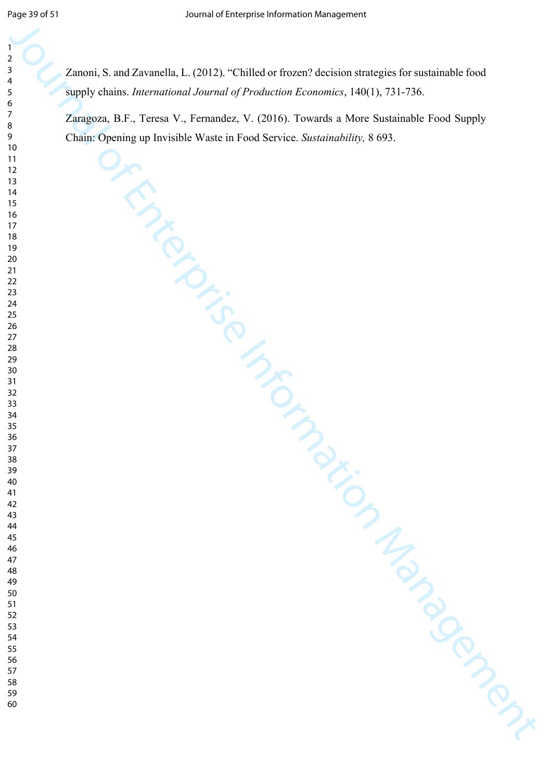Journal of Enterprise Information Management Zanoni, S. and Zavanella, L. (2012). "Chilled or frozen? decision strategies for sustainable food supply chains. *International Journal of Production Economics*, 140(1), 731-736.

Zaragoza, B.F., Teresa V., Fernandez, V. (2016). Towards a More Sustainable Food Supply Chain: Opening up Invisible Waste in Food Service. *Sustainability,* 8 693.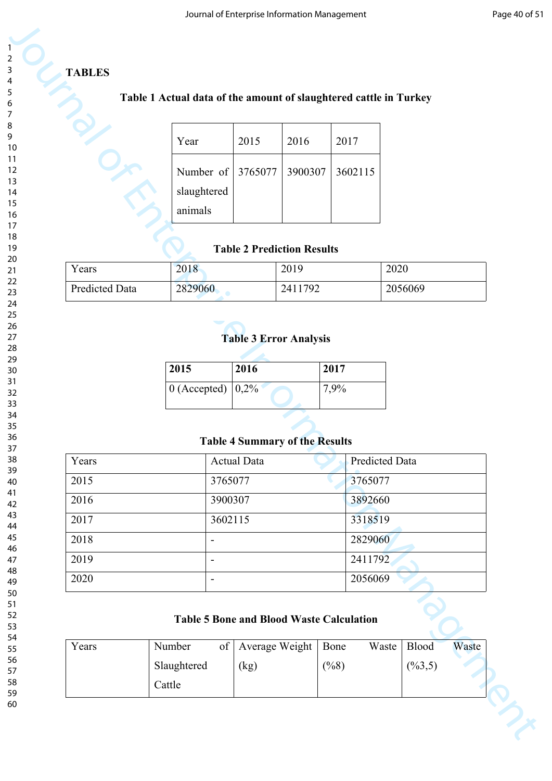## **TABLES**

## **Table 1 Actual data of the amount of slaughtered cattle in Turkey**

| Year                              | 2015 | 2016 | 2017 |
|-----------------------------------|------|------|------|
|                                   |      |      |      |
| Number of 3765077 3900307 3602115 |      |      |      |
| slaughtered                       |      |      |      |
| animals                           |      |      |      |
|                                   |      |      |      |

## **Table 2 Prediction Results**

| Years                 | 2018    | 2019    | 2020    |
|-----------------------|---------|---------|---------|
| <b>Predicted Data</b> | 2829060 | 2411792 | 2056069 |

# **Table 3 Error Analysis**

| 2015                                       | 2016 | 2017 |
|--------------------------------------------|------|------|
| $\vert 0$ (Accepted) $\vert 0,2\% \rangle$ |      | 7,9% |

## **Table 4 Summary of the Results**

|                      | Table 1 Actual data of the amount of slaughtered cattle in Turkey |                                       |         |              |                    |              |       |
|----------------------|-------------------------------------------------------------------|---------------------------------------|---------|--------------|--------------------|--------------|-------|
|                      | Year                                                              | 2015                                  | 2016    | 2017         |                    |              |       |
|                      | Number of<br>slaughtered<br>animals                               | 3765077                               | 3900307 |              | 3602115            |              |       |
|                      |                                                                   | <b>Table 2 Prediction Results</b>     |         |              |                    |              |       |
| Years                | 2018                                                              |                                       | 2019    |              |                    | 2020         |       |
| Predicted Data       | 2829060                                                           |                                       | 2411792 |              |                    | 2056069      |       |
|                      | 2015<br>$0$ (Accepted)                                            | 2016<br>0,2%                          |         | 2017<br>7,9% |                    |              |       |
|                      |                                                                   | <b>Table 4 Summary of the Results</b> |         |              |                    |              |       |
| Years                |                                                                   | <b>Actual Data</b>                    |         |              | Predicted Data     |              |       |
| 2015                 |                                                                   | 3765077                               |         |              | 3765077            |              |       |
|                      |                                                                   | 3900307                               |         |              | 3892660            |              |       |
| 2016<br>2017         | $\overline{\phantom{a}}$                                          | 3602115                               |         |              | 3318519            |              |       |
|                      | $\overline{\phantom{a}}$                                          |                                       |         |              | 2829060            |              |       |
| 2018<br>2019<br>2020 | $\overline{\phantom{a}}$                                          |                                       |         |              | 2411792<br>2056069 |              |       |
|                      | <b>Table 5 Bone and Blood Waste Calculation</b>                   |                                       |         |              |                    |              |       |
| Years                | Number<br>of                                                      | Average Weight                        |         | Bone         | Waste              | <b>Blood</b> | Waste |

## **Table 5 Bone and Blood Waste Calculation**

| Years | Number      | of   Average Weight   Bone |      | Waste   Blood       | Waste |
|-------|-------------|----------------------------|------|---------------------|-------|
|       | Slaughtered | (kg)                       | (%8) | $(\frac{9}{63}, 5)$ |       |
|       | Cattle      |                            |      |                     |       |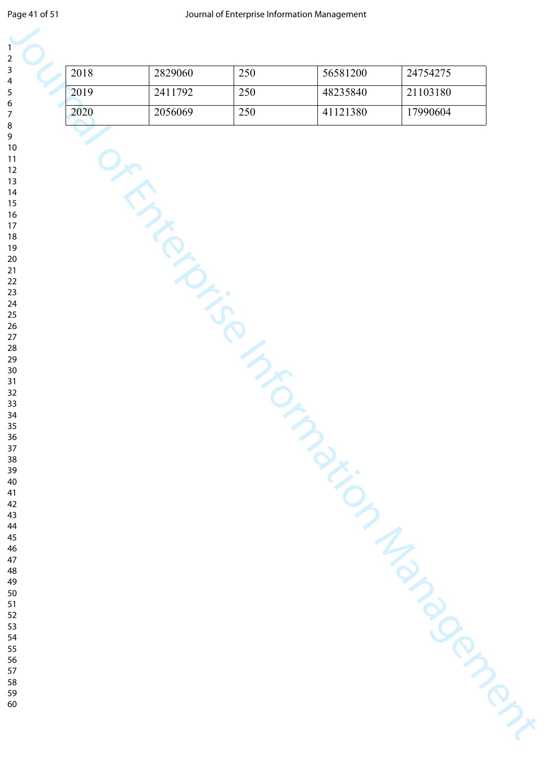| 1                               |
|---------------------------------|
| 2                               |
| 3                               |
| 4                               |
| 5                               |
|                                 |
| 6                               |
|                                 |
| 8                               |
| $\mathbf$<br>)                  |
| 10                              |
| 1<br>$\mathbf{1}$               |
|                                 |
| 1<br>フ                          |
| 13                              |
| 4<br>$\mathbf{1}$               |
| 15                              |
| 16                              |
| 17                              |
| 18                              |
|                                 |
| 19                              |
| 20                              |
| $\overline{21}$                 |
| $\overline{2}$<br>$\mathcal{P}$ |
| 23                              |
| $\frac{24}{5}$                  |
| 25                              |
|                                 |
| $\frac{26}{5}$                  |
| $^{27}$                         |
| $\frac{28}{5}$                  |
| 29                              |
| 30                              |
| $\overline{\textbf{3}}$         |
| $\overline{\mathbf{3}}$<br>,    |
|                                 |
| $\overline{\mathbf{3}}$<br>ξ    |
| 34                              |
| 35                              |
| 36                              |
| 37                              |
| 88                              |
|                                 |
| 39                              |
| 40                              |
| 41                              |
| 42                              |
| $\overline{4}$<br>ξ             |
| 44                              |
| 45                              |
|                                 |
| 46                              |
| 47                              |
| 48                              |
| 49                              |
| 50                              |
| 51                              |
| 5<br>$\overline{c}$             |
|                                 |
| 5:<br>ξ                         |
| 54                              |
| 55                              |
| 56                              |

| 2018 | 2829060        | 250 | 56581200 | 24754275 |
|------|----------------|-----|----------|----------|
| 2019 | 2411792        | 250 | 48235840 | 21103180 |
| 2020 | 2056069        | 250 | 41121380 | 17990604 |
|      | JERRA LIGORIAN |     |          |          |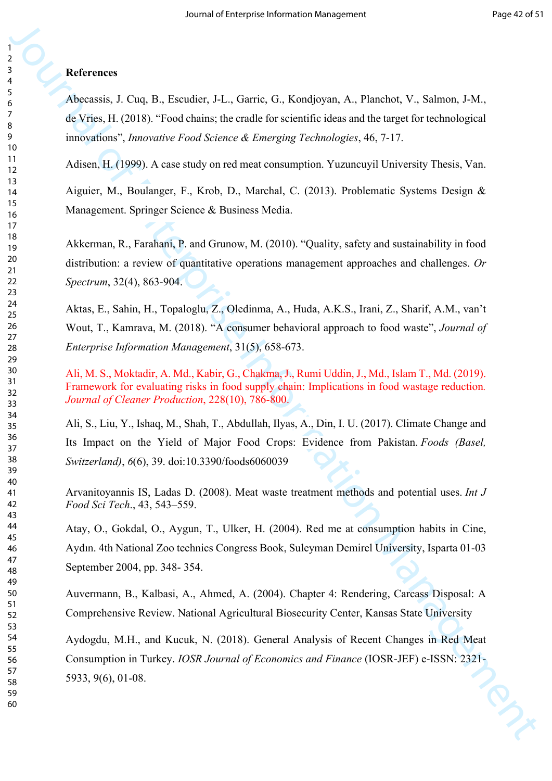## **References**

Abecassis, J. Cuq, B., Escudier, J-L., Garric, G., Kondjoyan, A., Planchot, V., Salmon, J-M., de Vries, H. (2018). "Food chains; the cradle for scientific ideas and the target for technological innovations", *Innovative Food Science & Emerging Technologies*, 46, 7-17.

Adisen, H. (1999). A case study on red meat consumption. Yuzuncuyil University Thesis, Van.

Aiguier, M., Boulanger, F., Krob, D., Marchal, C. (2013). Problematic Systems Design & Management. Springer Science & Business Media.

Akkerman, R., Farahani, P. and Grunow, M. (2010). "Quality, safety and sustainability in food distribution: a review of quantitative operations management approaches and challenges. *Or Spectrum*, 32(4), 863-904.

Aktas, E., Sahin, H., Topaloglu, Z., Oledinma, A., Huda, A.K.S., Irani, Z., Sharif, A.M., van't Wout, T., Kamrava, M. (2018). "A consumer behavioral approach to food waste", *Journal of Enterprise Information Management*, 31(5), 658-673.

Ali, M. S., Moktadir, A. Md., Kabir, G., Chakma, J., Rumi Uddin, J., Md., Islam T., Md. (2019). Framework for evaluating risks in food supply chain: Implications in food wastage reduction*. Journal of Cleaner Production*, 228(10), 786-800.

Ali, S., Liu, Y., Ishaq, M., Shah, T., Abdullah, Ilyas, A., Din, I. U. (2017). Climate Change and Its Impact on the Yield of Major Food Crops: Evidence from Pakistan. *Foods (Basel, Switzerland)*, *6*(6), 39. doi:10.3390/foods6060039

Arvanitoyannis IS, Ladas D. (2008). Meat waste treatment methods and potential uses. *Int J Food Sci Tech*., 43, 543–559.

Atay, O., Gokdal, O., Aygun, T., Ulker, H. (2004). Red me at consumption habits in Cine, Aydın. 4th National Zoo technics Congress Book, Suleyman Demirel University, Isparta 01-03 September 2004, pp. 348- 354.

Auvermann, B., Kalbasi, A., Ahmed, A. (2004). Chapter 4: Rendering, Carcass Disposal: A Comprehensive Review. National Agricultural Biosecurity Center, Kansas State University

**Motiveness**<br>
Also<br>
Also<br>
Also<br>
Also<br>
Also<br>
Also<br>
Also<br>
Also<br>
Also<br>
Also<br>
Also Li (1908), Totachians, the catalle in occasion Machine Box and the large for the<br>
Formatic Health (1909). A case study can collect a Someoptic Aydogdu, M.H., and Kucuk, N. (2018). General Analysis of Recent Changes in Red Meat Consumption in Turkey. *IOSR Journal of Economics and Finance* (IOSR-JEF) e-ISSN: 2321- 5933, 9(6), 01-08.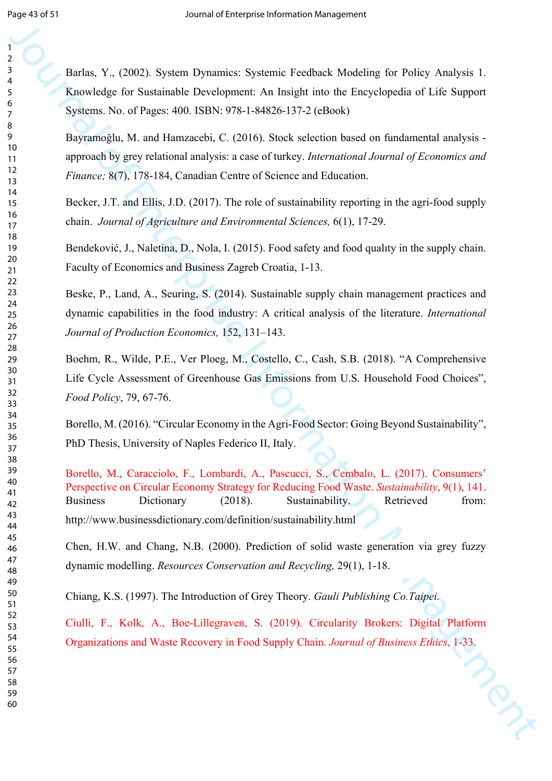Journal of Franchista Controlline and National Computer Systemic Features Mandatong for Pology Analysis 1.<br>
Hence Moscolas for Saminabile Development, An Insight into the Enterprehension of Life Support Spectras. No of Fi Barlas, Y., (2002). System Dynamics: Systemic Feedback Modeling for Policy Analysis 1. Knowledge for Sustainable Development: An Insight into the Encyclopedia of Life Support Systems. No. of Pages: 400. ISBN: 978-1-84826-137-2 (eBook) Bayramoğlu, M. and Hamzacebi, C. (2016). Stock selection based on fundamental analysis approach by grey relational analysis: a case of turkey. *International Journal of Economics and Finance;* 8(7), 178-184, Canadian Centre of Science and Education. Becker, J.T. and Ellis, J.D. (2017). The role of sustainability reporting in the agri-food supply chain. *Journal of Agriculture and Environmental Sciences,* 6(1), 17-29.

Bendeković, J., Naletina, D., Nola, I. (2015). Food safety and food qualıty in the supply chain.

Faculty of Economics and Business Zagreb Croatia, 1-13.

Beske, P., Land, A., Seuring, S. (2014). Sustainable supply chain management practices and dynamic capabilities in the food industry: A critical analysis of the literature. *International Journal of Production Economics,* 152, 131–143.

Boehm, R., Wilde, P.E., Ver Ploeg, M., Costello, C., Cash, S.B. (2018). "A Comprehensive Life Cycle Assessment of Greenhouse Gas Emissions from U.S. Household Food Choices", *Food Policy*, 79, 67-76.

Borello, M. (2016). "Circular Economy in the Agri-Food Sector: Going Beyond Sustainability", PhD Thesis, University of Naples Federico II, Italy.

Borello, M., Caracciolo, F., Lombardi, A., Pascucci, S., Cembalo, L. (2017). Consumers' Perspective on Circular Economy Strategy for Reducing Food Waste. *Sustainability*, 9(1), 141. Business Dictionary (2018). Sustainability. Retrieved from: http://www.businessdictionary.com/definition/sustainability.html

Chen, H.W. and Chang, N.B. (2000). Prediction of solid waste generation via grey fuzzy dynamic modelling. *Resources Conservation and Recycling,* 29(1), 1-18.

Chiang, K.S. (1997). The Introduction of Grey Theory. *Gauli Publishing Co.Taipei.*

Ciulli, F., Kolk, A., Boe-Lillegraven, S. (2019). Circularity Brokers: Digital Platform Organizations and Waste Recovery in Food Supply Chain. *Journal of Business Ethics*, 1-33.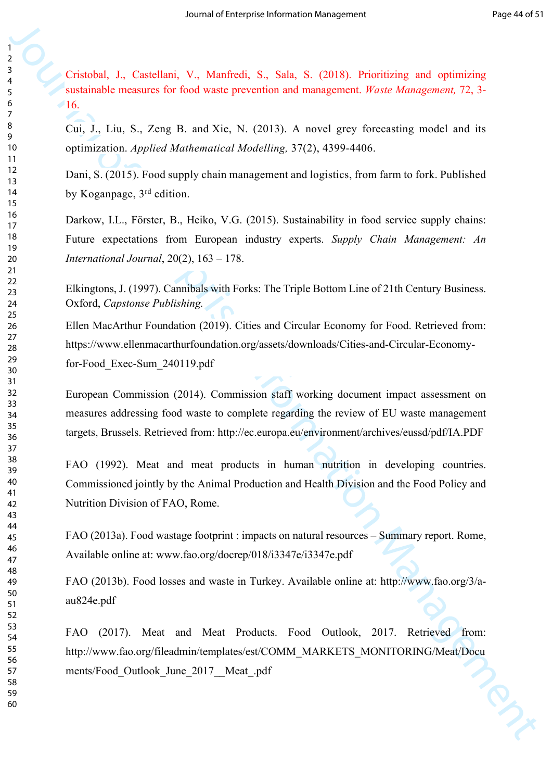Cristobal, J., Castellani, V., Manfredi, S., Sala, S. (2018). Prioritizing and optimizing sustainable measures for food waste prevention and management. *Waste Management,* 72, 3-  $\triangle$ 16.

Cui, J., Liu, S., Zeng B. and Xie, N. (2013). A novel grey forecasting model and its optimization. *Applied Mathematical Modelling,* 37(2), 4399-4406.

Dani, S. (2015). Food supply chain management and logistics, from farm to fork. Published by Koganpage, 3rd edition.

Criticisch, J., Cancellani, V., Manicoli, S., Sala. 5. (2018). Prioritizing and opti[m](http://ec.europa.eu/environment/archives/eussd/pdf/IA.PDF)izing<br>
y Criticische mensures for ford waste prevention [an](http://www.fao.org/3/a-au824e.pdf)d nana[gem](http://www.fao.org/fileadmin/templates/est/COMM_MARKETS_MONITORING/Meat/Documents/Food_Outlook_June_2017__Meat_.pdf)ent *Hiras Monogonori*, 73, 3<br>
U.S.<br>
U.S. J., Liu, S., Zeng. B. and X Darkow, I.L., Förster, B., Heiko, V.G. (2015). Sustainability in food service supply chains: Future expectations from European industry experts. *Supply Chain Management: An International Journal*, 20(2), 163 – 178.

Elkingtons, J. (1997). Cannibals with Forks: The Triple Bottom Line of 21th Century Business. Oxford, *Capstonse Publishing.*

Ellen MacArthur Foundation (2019). Cities and Circular Economy for Food. Retrieved from: https://www.ellenmacarthurfoundation.org/assets/downloads/Cities-and-Circular-Economyfor-Food\_Exec-Sum\_240119.pdf

European Commission (2014). Commission staff working document impact assessment on measures addressing food waste to complete regarding the review of EU waste management targets, Brussels. Retrieved from: http://ec.europa.eu/environment/archives/eussd/pdf/IA.PDF

FAO (1992). Meat and meat products in human nutrition in developing countries. Commissioned jointly by the Animal Production and Health Division and the Food Policy and Nutrition Division of FAO, Rome.

FAO (2013a). Food wastage footprint : impacts on natural resources – Summary report. Rome, Available online at: www.fao.org/docrep/018/i3347e/i3347e.pdf

FAO (2013b). Food losses and waste in Turkey. Available online at: http://www.fao.org/3/aau824e.pdf

FAO (2017). Meat and Meat Products. Food Outlook, 2017. Retrieved from: http://www.fao.org/fileadmin/templates/est/COMM\_MARKETS\_MONITORING/Meat/Docu ments/Food Outlook June 2017 Meat .pdf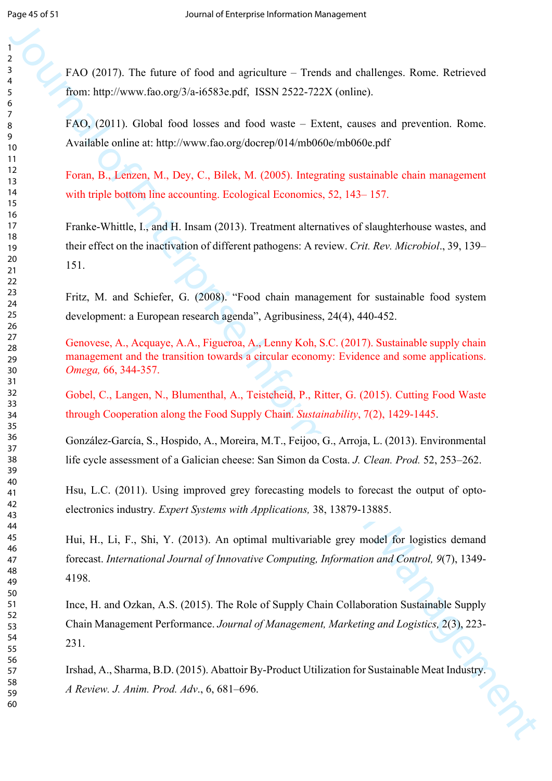FAO (2017). The future of food and agriculture – Trends and challenges. Rome. Retrieved from: http://www.fao.org/3/a-i6583e.pdf, ISSN 2522-722X (online).

FAO, (2011). Global food losses and food waste – Extent, causes and prevention. Rome. Available online at: http://www.fao.org/docrep/014/mb060e/mb060e.pdf

Foran, B., Lenzen, M., Dey, C., Bilek, M. (2005). Integrating sustainable chain management with triple bottom line accounting. Ecological Economics, 52, 143–157.

19<br>
19<br>
19<br>
19 (2013). The finance of fiesd and agriculture – Furnds and dual<br>longes. Rome. Rationeal fig. (1938). The Enterprise Information Management Control of Fig.<br>
19 (2013). The Enterprise Information Management C Franke-Whittle, I., and H. Insam (2013). Treatment alternatives of slaughterhouse wastes, and their effect on the inactivation of different pathogens: A review. *Crit. Rev. Microbiol*., 39, 139– 151.

Fritz, M. and Schiefer, G. (2008). "Food chain management for sustainable food system development: a European research agenda", Agribusiness, 24(4), 440-452.

Genovese, A., Acquaye, A.A., Figueroa, A., Lenny Koh, S.C. (2017). Sustainable supply chain management and the transition towards a circular economy: Evidence and some applications. *Omega,* 66, 344-357.

Gobel, C., Langen, N., Blumenthal, A., Teistcheid, P., Ritter, G. (2015). Cutting Food Waste through Cooperation along the Food Supply Chain. *Sustainability*, 7(2), 1429-1445.

González-García, S., Hospido, A., Moreira, M.T., Feijoo, G., Arroja, L. (2013). Environmental life cycle assessment of a Galician cheese: San Simon da Costa. *J. Clean. Prod.* 52, 253–262.

Hsu, L.C. (2011). Using improved grey forecasting models to forecast the output of optoelectronics industry*. Expert Systems with Applications,* 38, 13879-13885.

Hui, H., Li, F., Shi, Y. (2013). An optimal multivariable grey model for logistics demand forecast. *International Journal of Innovative Computing, Information and Control, 9*(7), 1349- 4198.

Ince, H. and Ozkan, A.S. (2015). The Role of Supply Chain Collaboration Sustainable Supply Chain Management Performance. *Journal of Management, Marketing and Logistics,* 2(3), 223- 231.

Irshad, A., Sharma, B.D. (2015). Abattoir By-Product Utilization for Sustainable Meat Industry. *A Review. J. Anim. Prod. Adv*., 6, 681–696.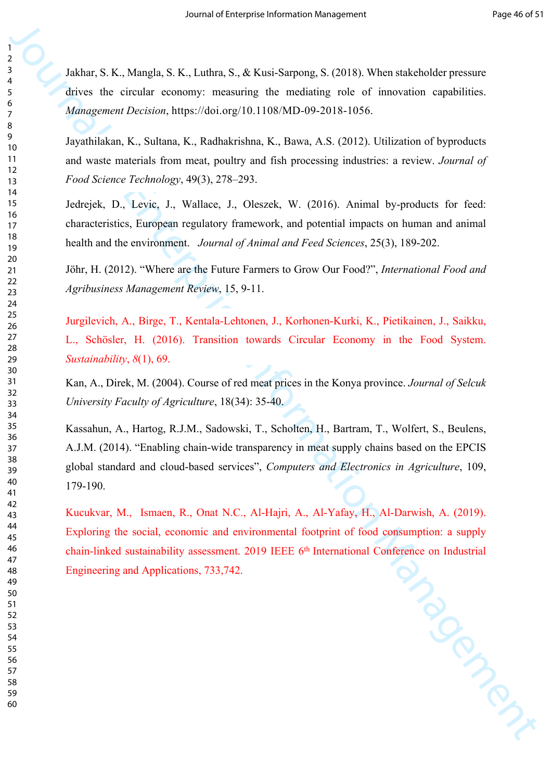Jakhar, S. K., Mangla, S. K., Luthra, S., & Kusi-Sarpong, S. (2018). When stakeholder pressure drives the circular economy: measuring the mediating role of innovation capabilities. *Management Decision*, https://doi.org/10.1108/MD-09-2018-1056.

Jayathilakan, K., Sultana, K., Radhakrishna, K., Bawa, A.S. (2012). Utilization of byproducts and waste materials from meat, poultry and fish processing industries: a review. *Journal of Food Science Technology*, 49(3), 278–293.

Jedrejek, D., Levic, J., Wallace, J., Oleszek, W. (2016). Animal by-products for feed: characteristics, European regulatory framework, and potential impacts on human and animal health and the environment. *Journal of Animal and Feed Sciences*, 25(3), 189-202.

Jöhr, H. (2012). "Where are the Future Farmers to Grow Our Food?", *International Food and Agribusiness Management Review*, 15, 9-11.

Jurgilevich, A., Birge, T., Kentala-Lehtonen, J., Korhonen-Kurki, K., Pietikainen, J., Saikku, L., Schösler, H. (2016). Transition towards Circular Economy in the Food System. *Sustainability*, *8*(1), 69.

Kan, A., Direk, M. (2004). Course of red meat prices in the Konya province. *Journal of Selcuk University Faculty of Agriculture*, 18(34): 35-40.

Journal of Enterprise IN. (Adding, S., & Kao Sanyong, S. (2011). When states the circuit consisting the consisting tells of innovation expansion compatibilities.<br>
These the circuit consisting the matter information Manage Kassahun, A., Hartog, R.J.M., Sadowski, T., Scholten, H., Bartram, T., Wolfert, S., Beulens, A.J.M. (2014). "Enabling chain-wide transparency in meat supply chains based on the EPCIS global standard and cloud-based services", *Computers and Electronics in Agriculture*, 109, 179-190.

Kucukvar, M., Ismaen, R., Onat N.C., Al-Hajri, A., Al-Yafay, H., Al-Darwish, A. (2019). Exploring the social, economic and environmental footprint of food consumption: a supply<br>chain-linked sustainability assessment. 2019 IEEE 6<sup>th</sup> International Conference on Industrial<br>Engineering and Applications, 733,742 chain-linked sustainability assessment. 2019 IEEE 6<sup>th</sup> International Conference on Industrial Engineering and Applications, 733,742.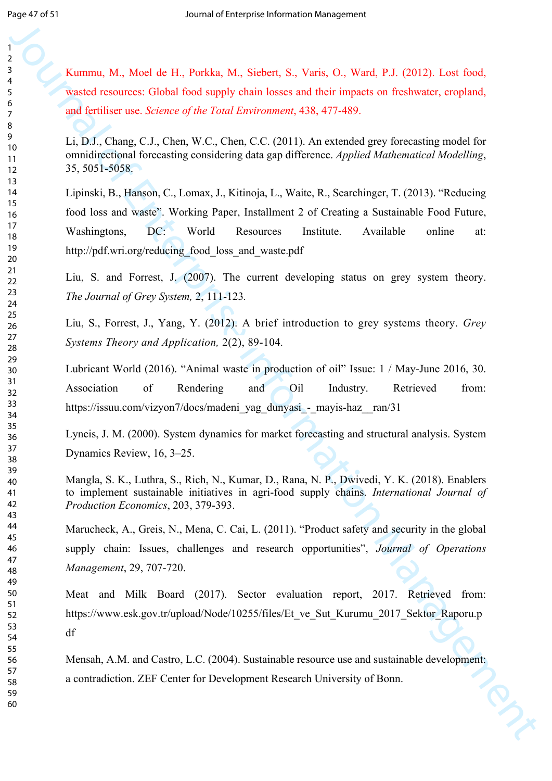Kummu, M., Moel de H., Porkka, M., Siebert, S., Varis, O., Ward, P.J. (2012). Lost food, wasted resources: Global food supply chain losses and their impacts on freshwater, cropland, and fertiliser use. *Science of the Total Environment*, 438, 477-489.

Li, D.J., Chang, C.J., Chen, W.C., Chen, C.C. (2011). An extended grey forecasting model for omnidirectional forecasting considering data gap difference. *Applied Mathematical Modelling*, 35, 5051-5058.

**Example 10**<br>
Someway, M., West de H., Pushka, M., Stebett, S., Varie, O., Ward, P.J. (2012). Leve fored,<br>
wated consumes. Global fored apply this losses and their impacts on Ent[er](http://pdf.wri.org/reducing_food_loss_and_waste.pdf)nal [or](https://issuu.com/vizyon7/docs/madeni_yag_dunyasi_-_mayis-haz__ran/31) the interpretation Consumer and th Lipinski, B., Hanson, C., Lomax, J., Kitinoja, L., Waite, R., Searchinger, T. (2013). "Reducing food loss and waste". Working Paper, Installment 2 of Creating a Sustainable Food Future, Washingtons, DC: World Resources Institute. Available online at: http://pdf.wri.org/reducing\_food\_loss\_and\_waste.pdf

Liu, S. and Forrest, J. (2007). The current developing status on grey system theory. *The Journal of Grey System,* 2, 111-123*.*

Liu, S., Forrest, J., Yang, Y. (2012). A brief introduction to grey systems theory. *Grey Systems Theory and Application,* 2(2), 89-104*.*

Lubricant World (2016). "Animal waste in production of oil" Issue: 1 / May-June 2016, 30. Association of Rendering and Oil Industry. Retrieved from: https://issuu.com/vizyon7/docs/madeni\_yag\_dunyasi\_-\_mayis-haz\_\_ran/31

Lyneis, J. M. (2000). System dynamics for market forecasting and structural analysis. System Dynamics Review, 16, 3–25.

Mangla, S. K., Luthra, S., Rich, N., Kumar, D., Rana, N. P., Dwivedi, Y. K. (2018). Enablers to implement sustainable initiatives in agri-food supply chains. *International Journal of Production Economics*, 203, 379-393.

Marucheck, A., Greis, N., Mena, C. Cai, L. (2011). "Product safety and security in the global supply chain: Issues, challenges and research opportunities", *Journal of Operations Management*, 29, 707-720.

Meat and Milk Board (2017). Sector evaluation report, 2017. Retrieved from: https://www.esk.gov.tr/upload/Node/10255/files/Et\_ve\_Sut\_Kurumu\_2017\_Sektor\_Raporu.p df

Mensah, A.M. and Castro, L.C. (2004). Sustainable resource use and sustainable development:<br>a contradiction. ZEF Center for Development Research University of Bonn. a contradiction. ZEF Center for Development Research University of Bonn.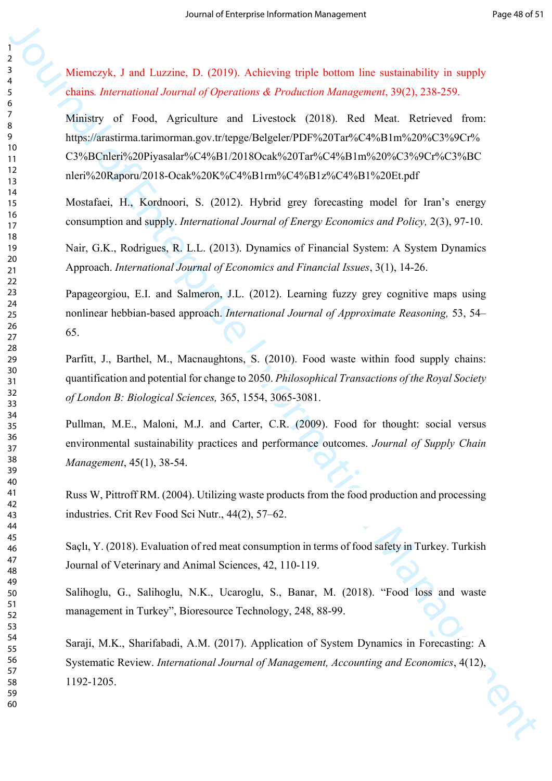Miemczyk, J and Luzzine, D. (2019). Achieving triple bottom line sustainability in supply chains*. International Journal of Operations & Production Management*, 39(2), 238-259.

Moreovek, 3 and Luczina, D. C019). As howing triple bottom fire socializable) is a supply<br>chains *Inter[nal](http://tureng.com/tr/turkce-ingilizce/ministry%20of%20food%2c%20agriculture%20and%20livestock) individual of Operation of Production Management* 390, 238-299.<br>The Register of treat, Apical and Luczina CPO (Man Ministry of Food, Agriculture and Livestock (2018). Red Meat. Retrieved from: https://arastirma.tarimorman.gov.tr/tepge/Belgeler/PDF%20Tar%C4%B1m%20%C3%9Cr% C3%BCnleri%20Piyasalar%C4%B1/2018Ocak%20Tar%C4%B1m%20%C3%9Cr%C3%BC nleri%20Raporu/2018-Ocak%20K%C4%B1rm%C4%B1z%C4%B1%20Et.pdf

Mostafaei, H., Kordnoori, S. (2012). Hybrid grey forecasting model for Iran's energy consumption and supply. *International Journal of Energy Economics and Policy,* 2(3), 97-10.

Nair, G.K., Rodrigues, R. L.L. (2013). Dynamics of Financial System: A System Dynamics Approach. *International Journal of Economics and Financial Issues*, 3(1), 14-26.

Papageorgiou, E.I. and Salmeron, J.L. (2012). Learning fuzzy grey cognitive maps using nonlinear hebbian-based approach. *International Journal of Approximate Reasoning,* 53, 54– 65.

Parfitt, J., Barthel, M., Macnaughtons, S. (2010). Food waste within food supply chains: quantification and potential for change to 2050. *Philosophical Transactions of the Royal Society of London B: Biological Sciences,* 365, 1554, 3065-3081.

Pullman, M.E., Maloni, M.J. and Carter, C.R. (2009). Food for thought: social versus environmental sustainability practices and performance outcomes. *Journal of Supply Chain Management*, 45(1), 38-54.

Russ W, Pittroff RM. (2004). Utilizing waste products from the food production and processing industries. Crit Rev Food Sci Nutr., 44(2), 57–62.

Saçlı, Y. (2018). Evaluation of red meat consumption in terms of food safety in Turkey. Turkish Journal of Veterinary and Animal Sciences, 42, 110-119.

Salihoglu, G., Salihoglu, N.K., Ucaroglu, S., Banar, M. (2018). "Food loss and waste management in Turkey", Bioresource Technology, 248, 88-99.

Saraji, M.K., Sharifabadi, A.M. (2017). Application of System Dynamics in Forecasting: A Systematic Review. *International Journal of Management, Accounting and Economics*, 4(12), 1192-1205.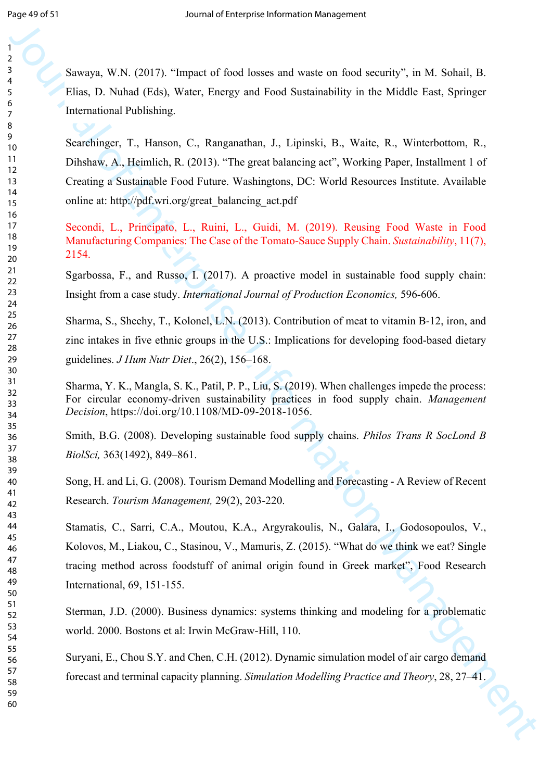Sawaya, W.N. (2017). "Impact of food losses and waste on food security", in M. Sohail, B. Elias, D. Nuhad (Eds), Water, Energy and Food Sustainability in the Middle East, Springer International Publishing.

**Shownya, W.A. (2017).** "Impact of ford losses and waste or fived security", in M. Solvial, H.<br> **Shownya, W.A. (2017).** "Impact of ford Succionality in the Middle East, S[pri](https://www.sciencedirect.com/science/journal/09255273)nger<br>
Interactional Policinia, New Tomos, C., Ra Searchinger, T., Hanson, C., Ranganathan, J., Lipinski, B., Waite, R., Winterbottom, R., Dihshaw, A., Heimlich, R. (2013). "The great balancing act", Working Paper, Installment 1 of Creating a Sustainable Food Future. Washingtons, DC: World Resources Institute. Available online at: http://pdf.wri.org/great\_balancing\_act.pdf

Secondi, L., Principato, L., Ruini, L., Guidi, M. (2019). Reusing Food Waste in Food Manufacturing Companies: The Case of the Tomato-Sauce Supply Chain. *Sustainability*, 11(7), 2154.

Sgarbossa, F., and Russo, I. (2017). A proactive model in sustainable food supply chain: Insight from a case study. *International Journal of Production Economics,* 596-606.

Sharma, S., Sheehy, T., Kolonel, L.N. (2013). Contribution of meat to vitamin B-12, iron, and zinc intakes in five ethnic groups in the U.S.: Implications for developing food-based dietary guidelines. *J Hum Nutr Diet*., 26(2), 156–168.

Sharma, Y. K., Mangla, S. K., Patil, P. P., Liu, S. (2019). When challenges impede the process: For circular economy-driven sustainability practices in food supply chain. *Management Decision*, https://doi.org/10.1108/MD-09-2018-1056.

Smith, B.G. (2008). Developing sustainable food supply chains. *Philos Trans R SocLond B BiolSci,* 363(1492), 849–861.

Song, H. and Li, G. (2008). Tourism Demand Modelling and Forecasting - A Review of Recent Research. *Tourism Management,* 29(2), 203-220.

Stamatis, C., Sarri, C.A., Moutou, K.A., Argyrakoulis, N., Galara, I., Godosopoulos, V., Kolovos, M., Liakou, C., Stasinou, V., Mamuris, Z. (2015). "What do we think we eat? Single tracing method across foodstuff of animal origin found in Greek market", Food Research International, 69, 151-155.

Sterman, J.D. (2000). Business dynamics: systems thinking and modeling for a problematic world. 2000. Bostons et al: Irwin McGraw-Hill, 110.

Suryani, E., Chou S.Y. and Chen, C.H. (2012). Dynamic simulation model of air cargo demand forecast and terminal capacity planning. *Simulation Modelling Practice and Theory*, 28, 27–41.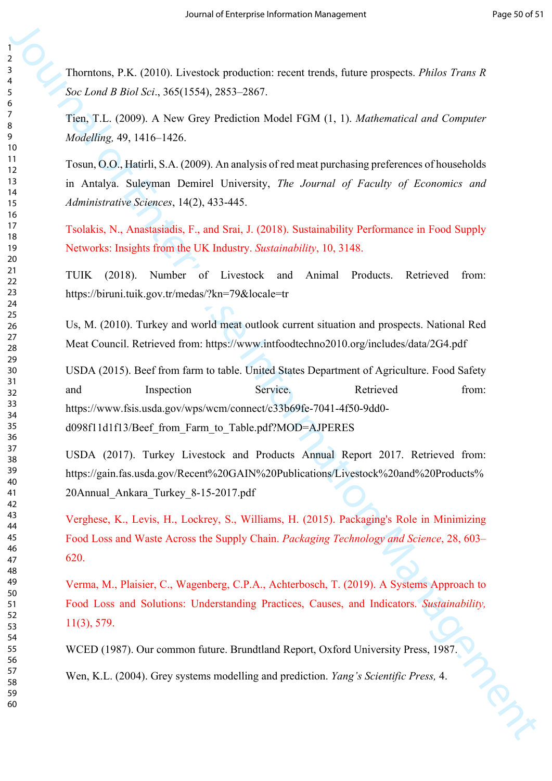Thorntons, P.K. (2010). Livestock production: recent trends, future prospects. *Philos Trans R Soc Lond B Biol Sci*., 365(1554), 2853–2867.

Tien, T.L. (2009). A New Grey Prediction Model FGM (1, 1). *Mathematical and Computer Modelling,* 49, 1416–1426.

Tosun, O.O., Hatirli, S.A. (2009). An analysis of red meat purchasing preferences of households in Antalya. Suleyman Demirel University, *The Journal of Faculty of Economics and Administrative Sciences*, 14(2), 433-445.

Tsolakis, N., Anastasiadis, F., and Srai, J. (2018). Sustainability Performance in Food Supply Networks: Insights from the UK Industry. *Sustainability*, 10, 3148.

TUIK (2018). Number of Livestock and Animal Products. Retrieved from: https://biruni.tuik.gov.tr/medas/?kn=79&locale=tr

Us, M. (2010). Turkey and world meat outlook current situation and prospects. National Red Meat Council. Retrieved from: https://www.intfoodtechno2010.org/includes/data/2G4.pdf

Jou[rn](https://www.ncbi.nlm.nih.gov/pmc/articles/PMC2935116/)al of Enter[pri](https://biruni.tuik.gov.tr/medas/?kn=79&locale=tr)s[e I](https://www.intfoodtechno2010.org/includes/data/2G4.pdf)nterpret[ati](https://gain.fas.usda.gov/Recent%20GAIN%20Publications/Livestock%20and%20Products%20Annual_Ankara_Turkey_8-15-2017.pdf)on (Eds.) (Figure 1988), Theoretical Science of Section 2013, 12, 2020, 2020, 2020, 2020, 2020, 2020, 2020, 2020, 2020, 2020, 2020, 2020, 2020, 2020, 2020, 2020, 2020, 2020, 2020, 2020, 2 USDA (2015). Beef from farm to table. United States Department of Agriculture. Food Safety and Inspection Service. Retrieved from: https://www.fsis.usda.gov/wps/wcm/connect/c33b69fe-7041-4f50-9dd0 d098f11d1f13/Beef\_from\_Farm\_to\_Table.pdf?MOD=AJPERES

USDA (2017). Turkey Livestock and Products Annual Report 2017. Retrieved from: https://gain.fas.usda.gov/Recent%20GAIN%20Publications/Livestock%20and%20Products% 20Annual\_Ankara\_Turkey\_8-15-2017.pdf

Verghese, K., Levis, H., Lockrey, S., Williams, H. (2015). Packaging's Role in Minimizing Food Loss and Waste Across the Supply Chain. *Packaging Technology and Science*, 28, 603– 620.

Verma, M., Plaisier, C., Wagenberg, C.P.A., Achterbosch, T. (2019). A Systems Approach to Food Loss and Solutions: Understanding Practices, Causes, and Indicators. *Sustainability,* 11(3), 579.

WCED (1987). Our common future. Brundtland Report, Oxford University Press, 1987.

Wen, K.L. (2004). Grey systems modelling and prediction. *Yang's Scientific Press,* 4.